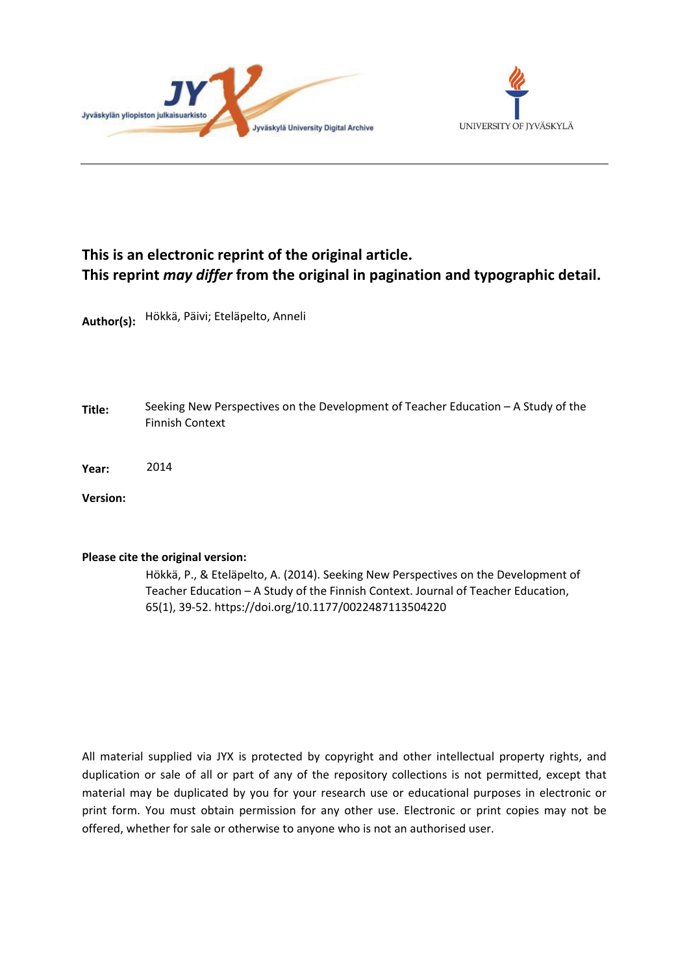



# **This is an electronic reprint of the original article. This reprint** *may differ* **from the original in pagination and typographic detail.**

**Author(s):**  Hökkä, Päivi; Eteläpelto, Anneli

- **Title:** Seeking New Perspectives on the Development of Teacher Education – A Study of the Finnish Context
- **Year:**  2014

**Version:**

#### **Please cite the original version:**

Hökkä, P., & Eteläpelto, A. (2014). Seeking New Perspectives on the Development of Teacher Education – A Study of the Finnish Context. Journal of Teacher Education, 65(1), 39-52. https://doi.org/10.1177/0022487113504220

All material supplied via JYX is protected by copyright and other intellectual property rights, and duplication or sale of all or part of any of the repository collections is not permitted, except that material may be duplicated by you for your research use or educational purposes in electronic or print form. You must obtain permission for any other use. Electronic or print copies may not be offered, whether for sale or otherwise to anyone who is not an authorised user.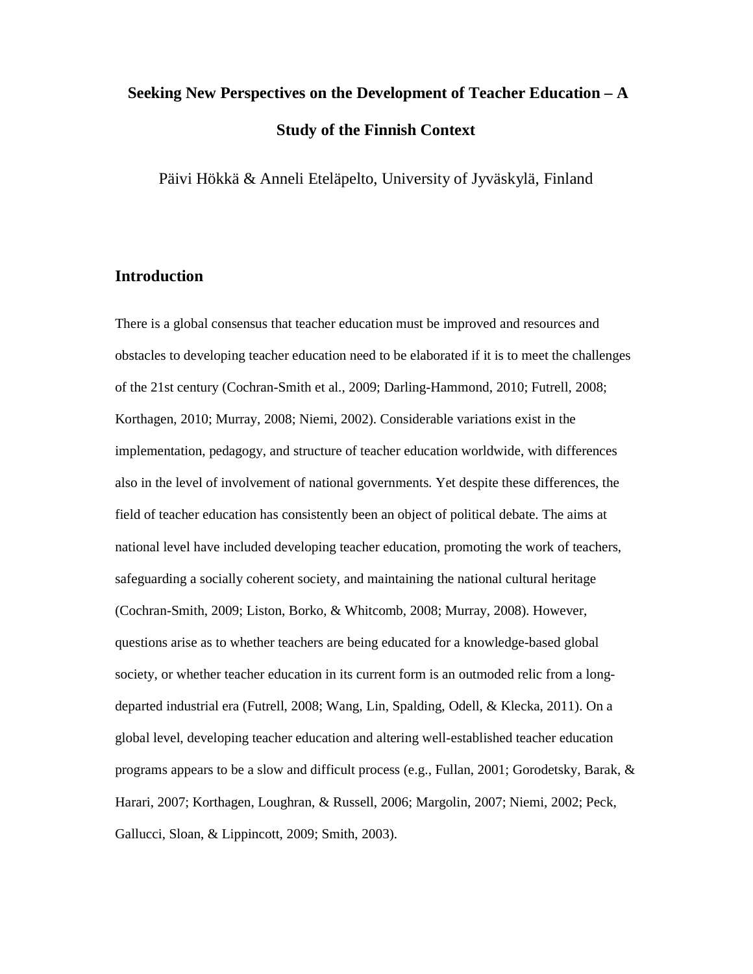# **Seeking New Perspectives on the Development of Teacher Education – A Study of the Finnish Context**

Päivi Hökkä & Anneli Eteläpelto, University of Jyväskylä, Finland

# **Introduction**

There is a global consensus that teacher education must be improved and resources and obstacles to developing teacher education need to be elaborated if it is to meet the challenges of the 21st century (Cochran-Smith et al., 2009; Darling-Hammond, 2010; Futrell, 2008; Korthagen, 2010; Murray, 2008; Niemi, 2002). Considerable variations exist in the implementation, pedagogy, and structure of teacher education worldwide, with differences also in the level of involvement of national governments. Yet despite these differences, the field of teacher education has consistently been an object of political debate. The aims at national level have included developing teacher education, promoting the work of teachers, safeguarding a socially coherent society, and maintaining the national cultural heritage (Cochran-Smith, 2009; Liston, Borko, & Whitcomb, 2008; Murray, 2008). However, questions arise as to whether teachers are being educated for a knowledge-based global society, or whether teacher education in its current form is an outmoded relic from a longdeparted industrial era (Futrell, 2008; Wang, Lin, Spalding, Odell, & Klecka, 2011). On a global level, developing teacher education and altering well-established teacher education programs appears to be a slow and difficult process (e.g., Fullan, 2001; Gorodetsky, Barak, & Harari, 2007; Korthagen, Loughran, & Russell, 2006; Margolin, 2007; Niemi, 2002; Peck, Gallucci, Sloan, & Lippincott, 2009; Smith, 2003).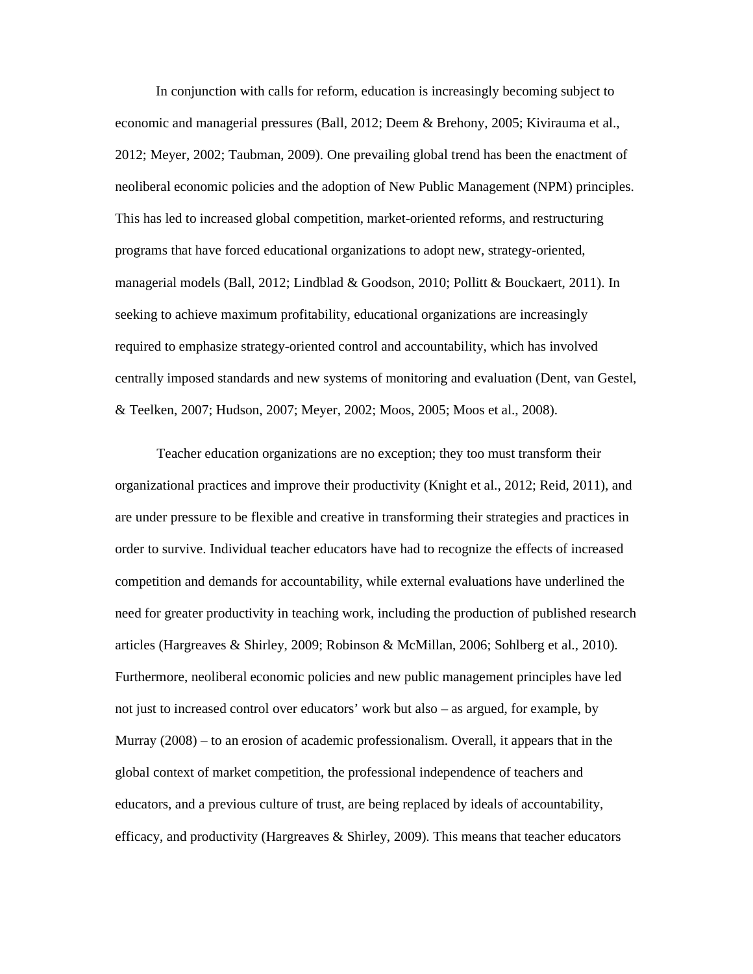In conjunction with calls for reform, education is increasingly becoming subject to economic and managerial pressures (Ball, 2012; Deem & Brehony, 2005; Kivirauma et al., 2012; Meyer, 2002; Taubman, 2009). One prevailing global trend has been the enactment of neoliberal economic policies and the adoption of New Public Management (NPM) principles. This has led to increased global competition, market-oriented reforms, and restructuring programs that have forced educational organizations to adopt new, strategy-oriented, managerial models (Ball, 2012; Lindblad & Goodson, 2010; Pollitt & Bouckaert, 2011). In seeking to achieve maximum profitability, educational organizations are increasingly required to emphasize strategy-oriented control and accountability, which has involved centrally imposed standards and new systems of monitoring and evaluation (Dent, van Gestel, & Teelken, 2007; Hudson, 2007; Meyer, 2002; Moos, 2005; Moos et al., 2008).

Teacher education organizations are no exception; they too must transform their organizational practices and improve their productivity (Knight et al., 2012; Reid, 2011), and are under pressure to be flexible and creative in transforming their strategies and practices in order to survive. Individual teacher educators have had to recognize the effects of increased competition and demands for accountability, while external evaluations have underlined the need for greater productivity in teaching work, including the production of published research articles (Hargreaves & Shirley, 2009; Robinson & McMillan, 2006; Sohlberg et al., 2010). Furthermore, neoliberal economic policies and new public management principles have led not just to increased control over educators' work but also – as argued, for example, by Murray (2008) – to an erosion of academic professionalism. Overall, it appears that in the global context of market competition, the professional independence of teachers and educators, and a previous culture of trust, are being replaced by ideals of accountability, efficacy, and productivity (Hargreaves & Shirley, 2009). This means that teacher educators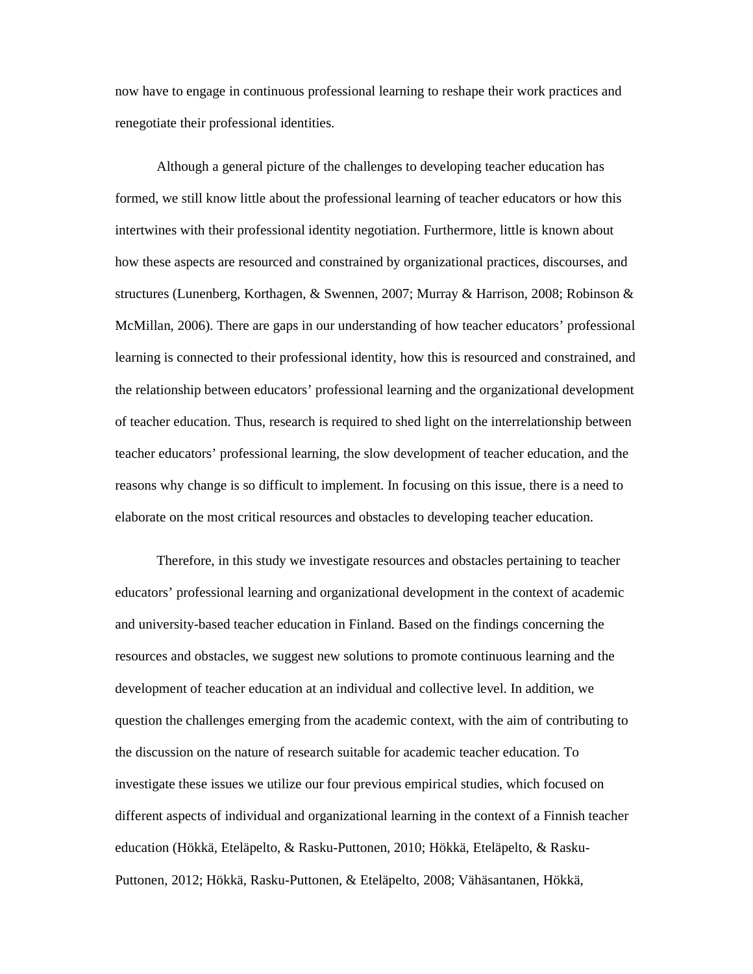now have to engage in continuous professional learning to reshape their work practices and renegotiate their professional identities.

Although a general picture of the challenges to developing teacher education has formed, we still know little about the professional learning of teacher educators or how this intertwines with their professional identity negotiation. Furthermore, little is known about how these aspects are resourced and constrained by organizational practices, discourses, and structures (Lunenberg, Korthagen, & Swennen, 2007; Murray & Harrison, 2008; Robinson & McMillan, 2006). There are gaps in our understanding of how teacher educators' professional learning is connected to their professional identity, how this is resourced and constrained, and the relationship between educators' professional learning and the organizational development of teacher education. Thus, research is required to shed light on the interrelationship between teacher educators' professional learning, the slow development of teacher education, and the reasons why change is so difficult to implement. In focusing on this issue, there is a need to elaborate on the most critical resources and obstacles to developing teacher education.

Therefore, in this study we investigate resources and obstacles pertaining to teacher educators' professional learning and organizational development in the context of academic and university-based teacher education in Finland. Based on the findings concerning the resources and obstacles, we suggest new solutions to promote continuous learning and the development of teacher education at an individual and collective level. In addition, we question the challenges emerging from the academic context, with the aim of contributing to the discussion on the nature of research suitable for academic teacher education. To investigate these issues we utilize our four previous empirical studies, which focused on different aspects of individual and organizational learning in the context of a Finnish teacher education (Hökkä, Eteläpelto, & Rasku-Puttonen, 2010; Hökkä, Eteläpelto, & Rasku-Puttonen, 2012; Hökkä, Rasku-Puttonen, & Eteläpelto, 2008; Vähäsantanen, Hökkä,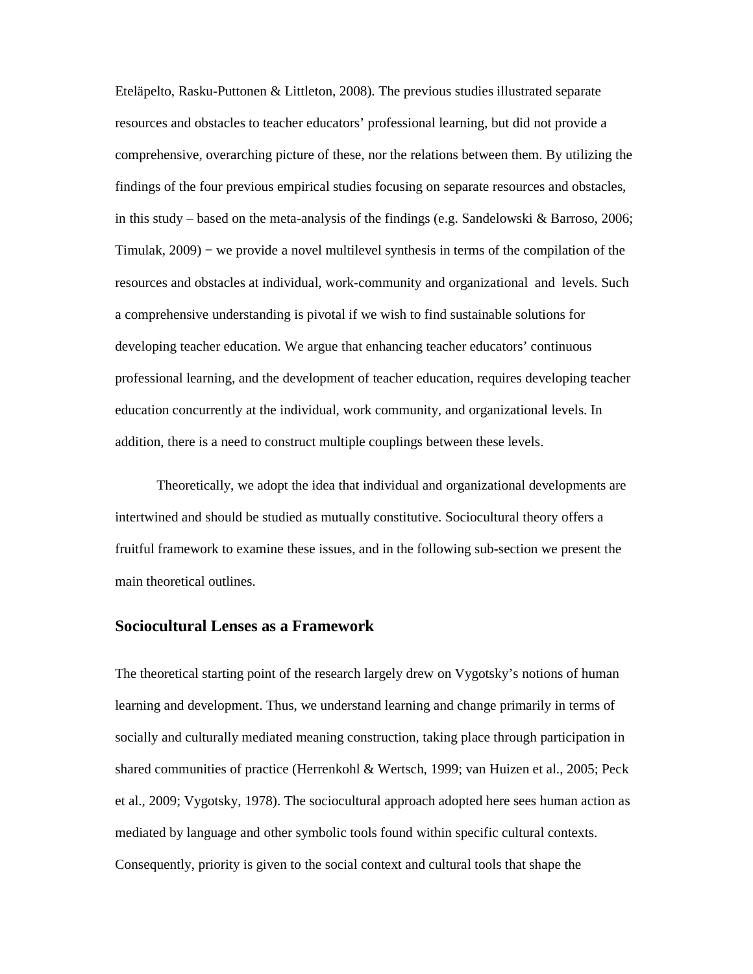Eteläpelto, Rasku-Puttonen & Littleton, 2008). The previous studies illustrated separate resources and obstacles to teacher educators' professional learning, but did not provide a comprehensive, overarching picture of these, nor the relations between them. By utilizing the findings of the four previous empirical studies focusing on separate resources and obstacles, in this study – based on the meta-analysis of the findings (e.g. Sandelowski & Barroso, 2006; Timulak, 2009) − we provide a novel multilevel synthesis in terms of the compilation of the resources and obstacles at individual, work-community and organizational and levels. Such a comprehensive understanding is pivotal if we wish to find sustainable solutions for developing teacher education. We argue that enhancing teacher educators' continuous professional learning, and the development of teacher education, requires developing teacher education concurrently at the individual, work community, and organizational levels. In addition, there is a need to construct multiple couplings between these levels.

Theoretically, we adopt the idea that individual and organizational developments are intertwined and should be studied as mutually constitutive. Sociocultural theory offers a fruitful framework to examine these issues, and in the following sub-section we present the main theoretical outlines.

#### **Sociocultural Lenses as a Framework**

The theoretical starting point of the research largely drew on Vygotsky's notions of human learning and development. Thus, we understand learning and change primarily in terms of socially and culturally mediated meaning construction, taking place through participation in shared communities of practice (Herrenkohl & Wertsch, 1999; van Huizen et al., 2005; Peck et al., 2009; Vygotsky, 1978). The sociocultural approach adopted here sees human action as mediated by language and other symbolic tools found within specific cultural contexts. Consequently, priority is given to the social context and cultural tools that shape the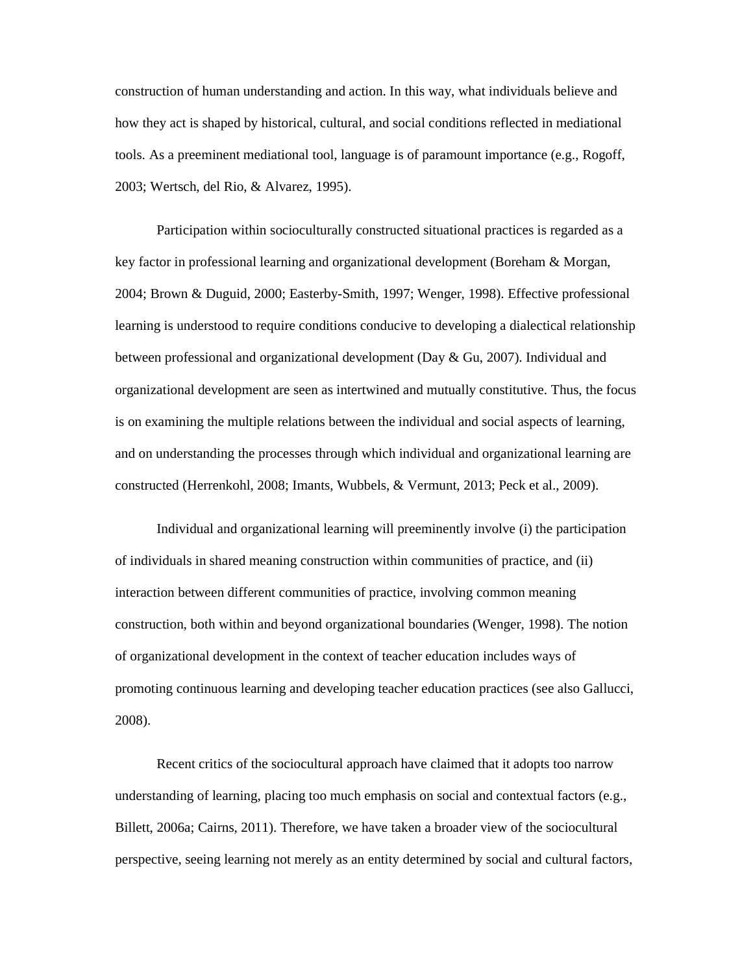construction of human understanding and action. In this way, what individuals believe and how they act is shaped by historical, cultural, and social conditions reflected in mediational tools. As a preeminent mediational tool, language is of paramount importance (e.g., Rogoff, 2003; Wertsch, del Rio, & Alvarez, 1995).

Participation within socioculturally constructed situational practices is regarded as a key factor in professional learning and organizational development (Boreham & Morgan, 2004; Brown & Duguid, 2000; Easterby-Smith, 1997; Wenger, 1998). Effective professional learning is understood to require conditions conducive to developing a dialectical relationship between professional and organizational development (Day & Gu, 2007). Individual and organizational development are seen as intertwined and mutually constitutive. Thus, the focus is on examining the multiple relations between the individual and social aspects of learning, and on understanding the processes through which individual and organizational learning are constructed (Herrenkohl, 2008; Imants, Wubbels, & Vermunt, 2013; Peck et al., 2009).

Individual and organizational learning will preeminently involve (i) the participation of individuals in shared meaning construction within communities of practice, and (ii) interaction between different communities of practice, involving common meaning construction, both within and beyond organizational boundaries (Wenger, 1998). The notion of organizational development in the context of teacher education includes ways of promoting continuous learning and developing teacher education practices (see also Gallucci, 2008).

Recent critics of the sociocultural approach have claimed that it adopts too narrow understanding of learning, placing too much emphasis on social and contextual factors (e.g., Billett, 2006a; Cairns, 2011). Therefore, we have taken a broader view of the sociocultural perspective, seeing learning not merely as an entity determined by social and cultural factors,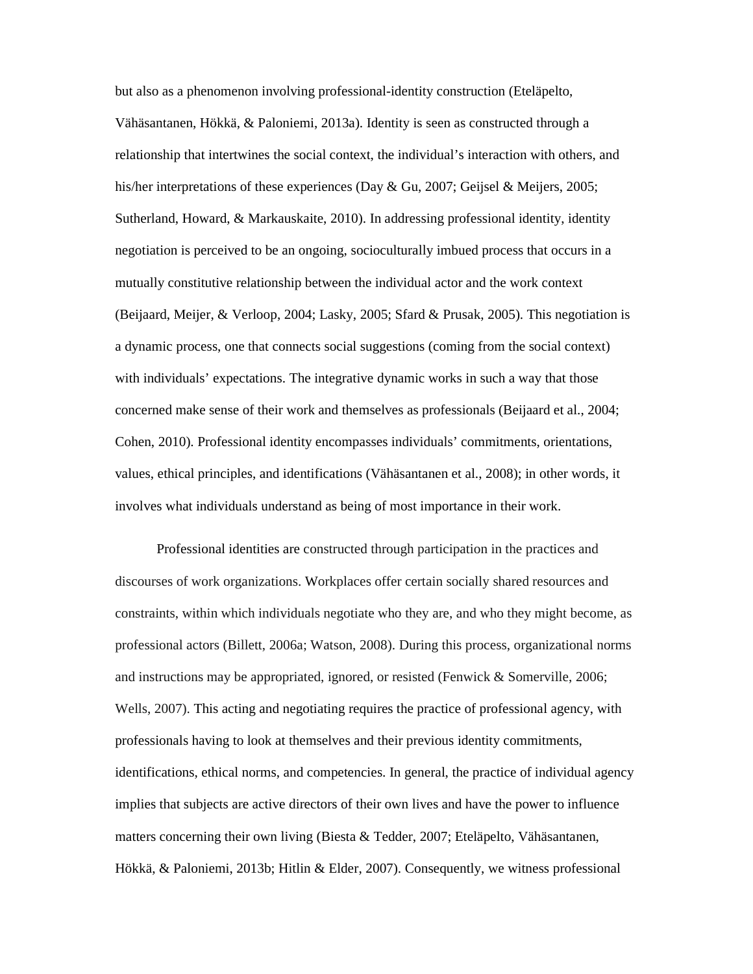but also as a phenomenon involving professional-identity construction (Eteläpelto, Vähäsantanen, Hökkä, & Paloniemi, 2013a). Identity is seen as constructed through a relationship that intertwines the social context, the individual's interaction with others, and his/her interpretations of these experiences (Day & Gu, 2007; Geijsel & Meijers, 2005; Sutherland, Howard, & Markauskaite, 2010). In addressing professional identity, identity negotiation is perceived to be an ongoing, socioculturally imbued process that occurs in a mutually constitutive relationship between the individual actor and the work context (Beijaard, Meijer, & Verloop, 2004; Lasky, 2005; Sfard & Prusak, 2005). This negotiation is a dynamic process, one that connects social suggestions (coming from the social context) with individuals' expectations. The integrative dynamic works in such a way that those concerned make sense of their work and themselves as professionals (Beijaard et al., 2004; Cohen, 2010). Professional identity encompasses individuals' commitments, orientations, values, ethical principles, and identifications (Vähäsantanen et al., 2008); in other words, it involves what individuals understand as being of most importance in their work.

Professional identities are constructed through participation in the practices and discourses of work organizations. Workplaces offer certain socially shared resources and constraints, within which individuals negotiate who they are, and who they might become, as professional actors (Billett, 2006a; Watson, 2008). During this process, organizational norms and instructions may be appropriated, ignored, or resisted (Fenwick & Somerville, 2006; Wells, 2007). This acting and negotiating requires the practice of professional agency, with professionals having to look at themselves and their previous identity commitments, identifications, ethical norms, and competencies. In general, the practice of individual agency implies that subjects are active directors of their own lives and have the power to influence matters concerning their own living (Biesta & Tedder, 2007; Eteläpelto, Vähäsantanen, Hökkä, & Paloniemi, 2013b; Hitlin & Elder, 2007). Consequently, we witness professional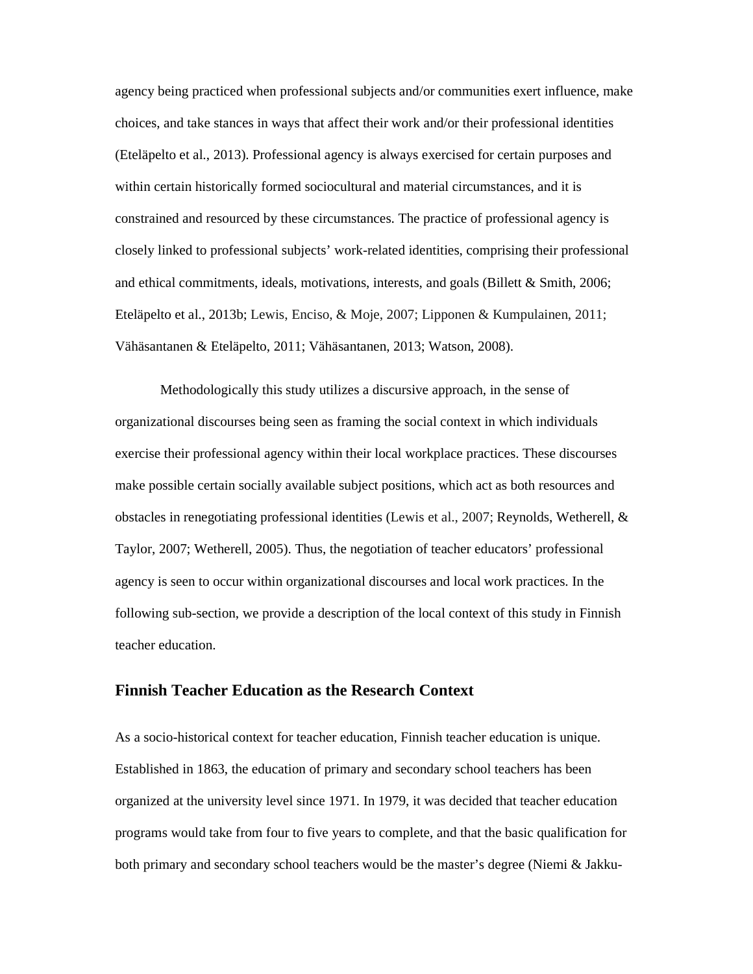agency being practiced when professional subjects and/or communities exert influence, make choices, and take stances in ways that affect their work and/or their professional identities (Eteläpelto et al., 2013). Professional agency is always exercised for certain purposes and within certain historically formed sociocultural and material circumstances, and it is constrained and resourced by these circumstances. The practice of professional agency is closely linked to professional subjects' work-related identities, comprising their professional and ethical commitments, ideals, motivations, interests, and goals (Billett & Smith, 2006; Eteläpelto et al., 2013b; Lewis, Enciso, & Moje, 2007; Lipponen & Kumpulainen, 2011; Vähäsantanen & Eteläpelto, 2011; Vähäsantanen, 2013; Watson, 2008).

 Methodologically this study utilizes a discursive approach, in the sense of organizational discourses being seen as framing the social context in which individuals exercise their professional agency within their local workplace practices. These discourses make possible certain socially available subject positions, which act as both resources and obstacles in renegotiating professional identities (Lewis et al., 2007; Reynolds, Wetherell, & Taylor, 2007; Wetherell, 2005). Thus, the negotiation of teacher educators' professional agency is seen to occur within organizational discourses and local work practices. In the following sub-section, we provide a description of the local context of this study in Finnish teacher education.

#### **Finnish Teacher Education as the Research Context**

As a socio-historical context for teacher education, Finnish teacher education is unique. Established in 1863, the education of primary and secondary school teachers has been organized at the university level since 1971. In 1979, it was decided that teacher education programs would take from four to five years to complete, and that the basic qualification for both primary and secondary school teachers would be the master's degree (Niemi & Jakku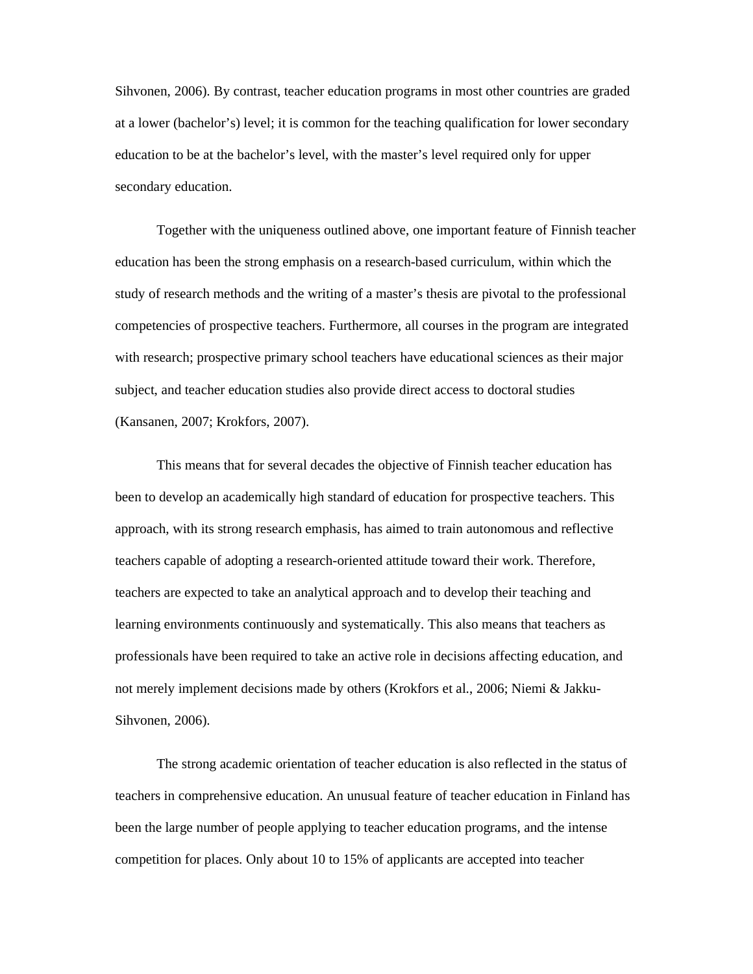Sihvonen, 2006). By contrast, teacher education programs in most other countries are graded at a lower (bachelor's) level; it is common for the teaching qualification for lower secondary education to be at the bachelor's level, with the master's level required only for upper secondary education.

Together with the uniqueness outlined above, one important feature of Finnish teacher education has been the strong emphasis on a research-based curriculum, within which the study of research methods and the writing of a master's thesis are pivotal to the professional competencies of prospective teachers. Furthermore, all courses in the program are integrated with research; prospective primary school teachers have educational sciences as their major subject, and teacher education studies also provide direct access to doctoral studies (Kansanen, 2007; Krokfors, 2007).

This means that for several decades the objective of Finnish teacher education has been to develop an academically high standard of education for prospective teachers. This approach, with its strong research emphasis, has aimed to train autonomous and reflective teachers capable of adopting a research-oriented attitude toward their work. Therefore, teachers are expected to take an analytical approach and to develop their teaching and learning environments continuously and systematically. This also means that teachers as professionals have been required to take an active role in decisions affecting education, and not merely implement decisions made by others (Krokfors et al., 2006; Niemi & Jakku-Sihvonen, 2006).

The strong academic orientation of teacher education is also reflected in the status of teachers in comprehensive education. An unusual feature of teacher education in Finland has been the large number of people applying to teacher education programs, and the intense competition for places. Only about 10 to 15% of applicants are accepted into teacher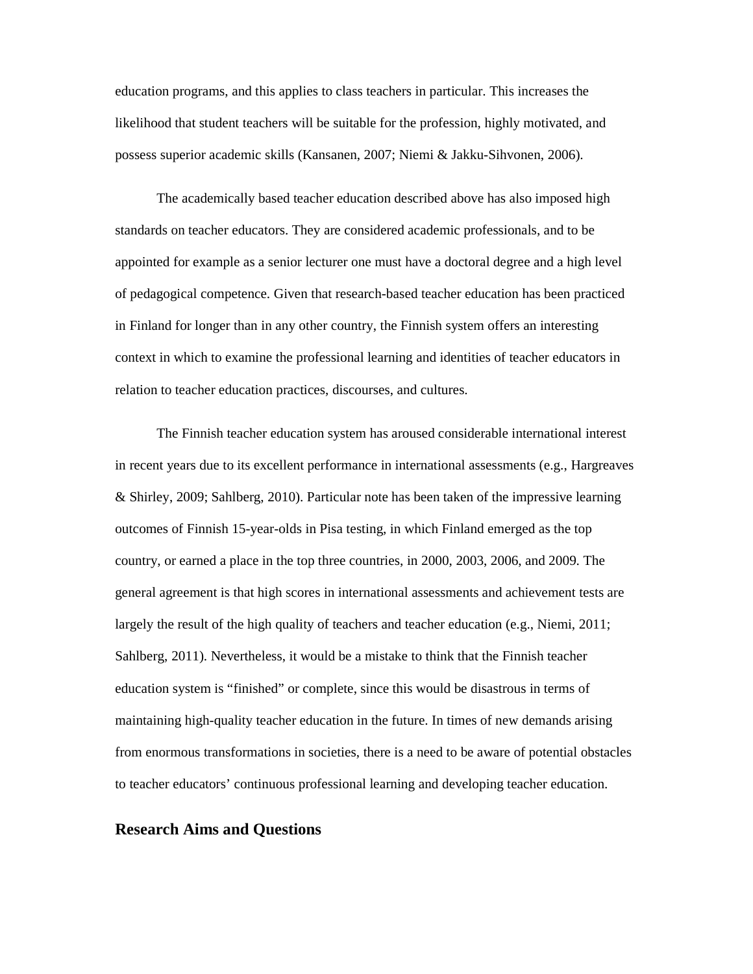education programs, and this applies to class teachers in particular. This increases the likelihood that student teachers will be suitable for the profession, highly motivated, and possess superior academic skills (Kansanen, 2007; Niemi & Jakku-Sihvonen, 2006).

The academically based teacher education described above has also imposed high standards on teacher educators. They are considered academic professionals, and to be appointed for example as a senior lecturer one must have a doctoral degree and a high level of pedagogical competence. Given that research-based teacher education has been practiced in Finland for longer than in any other country, the Finnish system offers an interesting context in which to examine the professional learning and identities of teacher educators in relation to teacher education practices, discourses, and cultures.

The Finnish teacher education system has aroused considerable international interest in recent years due to its excellent performance in international assessments (e.g., Hargreaves & Shirley, 2009; Sahlberg, 2010). Particular note has been taken of the impressive learning outcomes of Finnish 15-year-olds in Pisa testing, in which Finland emerged as the top country, or earned a place in the top three countries, in 2000, 2003, 2006, and 2009. The general agreement is that high scores in international assessments and achievement tests are largely the result of the high quality of teachers and teacher education (e.g., Niemi, 2011; Sahlberg, 2011). Nevertheless, it would be a mistake to think that the Finnish teacher education system is "finished" or complete, since this would be disastrous in terms of maintaining high-quality teacher education in the future. In times of new demands arising from enormous transformations in societies, there is a need to be aware of potential obstacles to teacher educators' continuous professional learning and developing teacher education.

#### **Research Aims and Questions**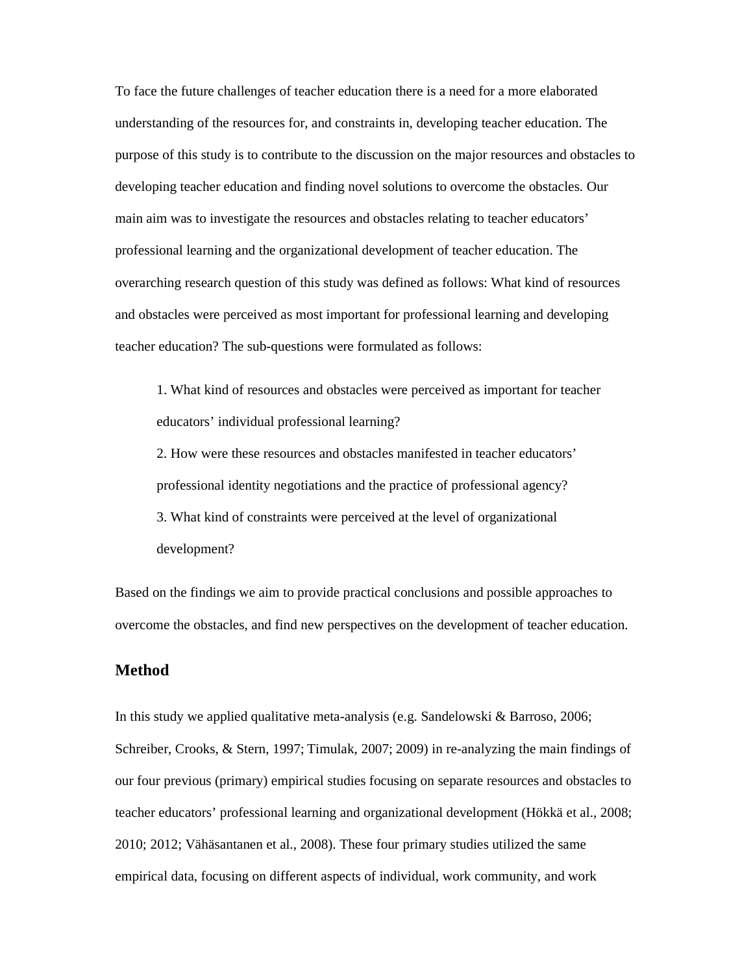To face the future challenges of teacher education there is a need for a more elaborated understanding of the resources for, and constraints in, developing teacher education. The purpose of this study is to contribute to the discussion on the major resources and obstacles to developing teacher education and finding novel solutions to overcome the obstacles. Our main aim was to investigate the resources and obstacles relating to teacher educators' professional learning and the organizational development of teacher education. The overarching research question of this study was defined as follows: What kind of resources and obstacles were perceived as most important for professional learning and developing teacher education? The sub-questions were formulated as follows:

1. What kind of resources and obstacles were perceived as important for teacher educators' individual professional learning?

2. How were these resources and obstacles manifested in teacher educators' professional identity negotiations and the practice of professional agency? 3. What kind of constraints were perceived at the level of organizational development?

Based on the findings we aim to provide practical conclusions and possible approaches to overcome the obstacles, and find new perspectives on the development of teacher education.

## **Method**

In this study we applied qualitative meta-analysis (e.g. Sandelowski & Barroso, 2006; Schreiber, Crooks, & Stern, 1997; Timulak, 2007; 2009) in re-analyzing the main findings of our four previous (primary) empirical studies focusing on separate resources and obstacles to teacher educators' professional learning and organizational development (Hökkä et al., 2008; 2010; 2012; Vähäsantanen et al., 2008). These four primary studies utilized the same empirical data, focusing on different aspects of individual, work community, and work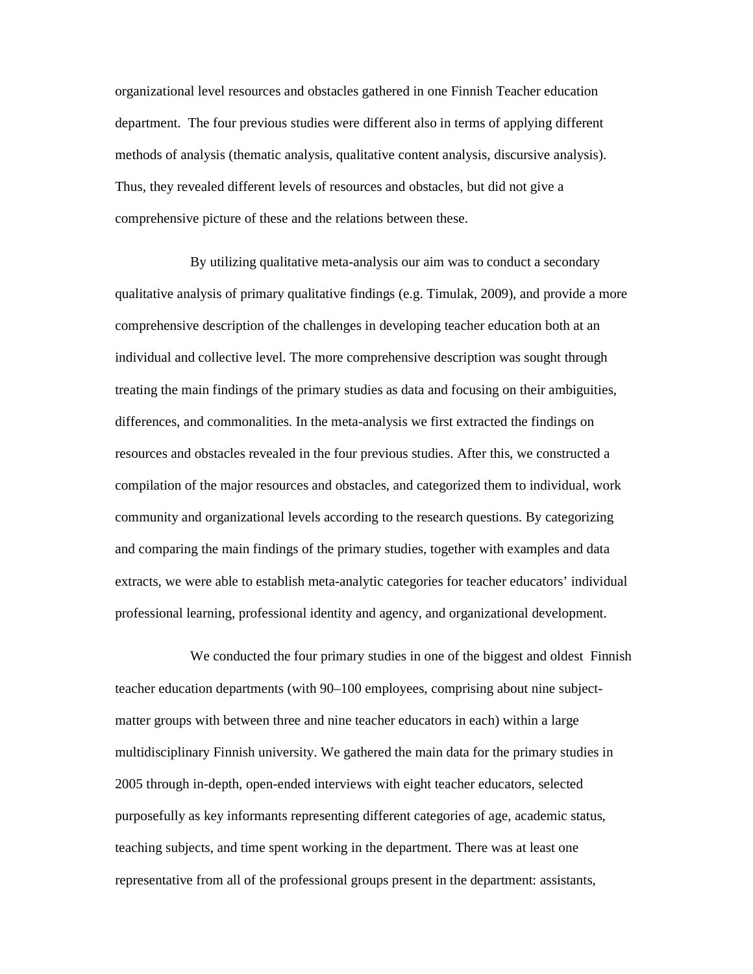organizational level resources and obstacles gathered in one Finnish Teacher education department. The four previous studies were different also in terms of applying different methods of analysis (thematic analysis, qualitative content analysis, discursive analysis). Thus, they revealed different levels of resources and obstacles, but did not give a comprehensive picture of these and the relations between these.

By utilizing qualitative meta-analysis our aim was to conduct a secondary qualitative analysis of primary qualitative findings (e.g. Timulak, 2009), and provide a more comprehensive description of the challenges in developing teacher education both at an individual and collective level. The more comprehensive description was sought through treating the main findings of the primary studies as data and focusing on their ambiguities, differences, and commonalities. In the meta-analysis we first extracted the findings on resources and obstacles revealed in the four previous studies. After this, we constructed a compilation of the major resources and obstacles, and categorized them to individual, work community and organizational levels according to the research questions. By categorizing and comparing the main findings of the primary studies, together with examples and data extracts, we were able to establish meta-analytic categories for teacher educators' individual professional learning, professional identity and agency, and organizational development.

 We conducted the four primary studies in one of the biggest and oldest Finnish teacher education departments (with 90–100 employees, comprising about nine subjectmatter groups with between three and nine teacher educators in each) within a large multidisciplinary Finnish university. We gathered the main data for the primary studies in 2005 through in-depth, open-ended interviews with eight teacher educators, selected purposefully as key informants representing different categories of age, academic status, teaching subjects, and time spent working in the department. There was at least one representative from all of the professional groups present in the department: assistants,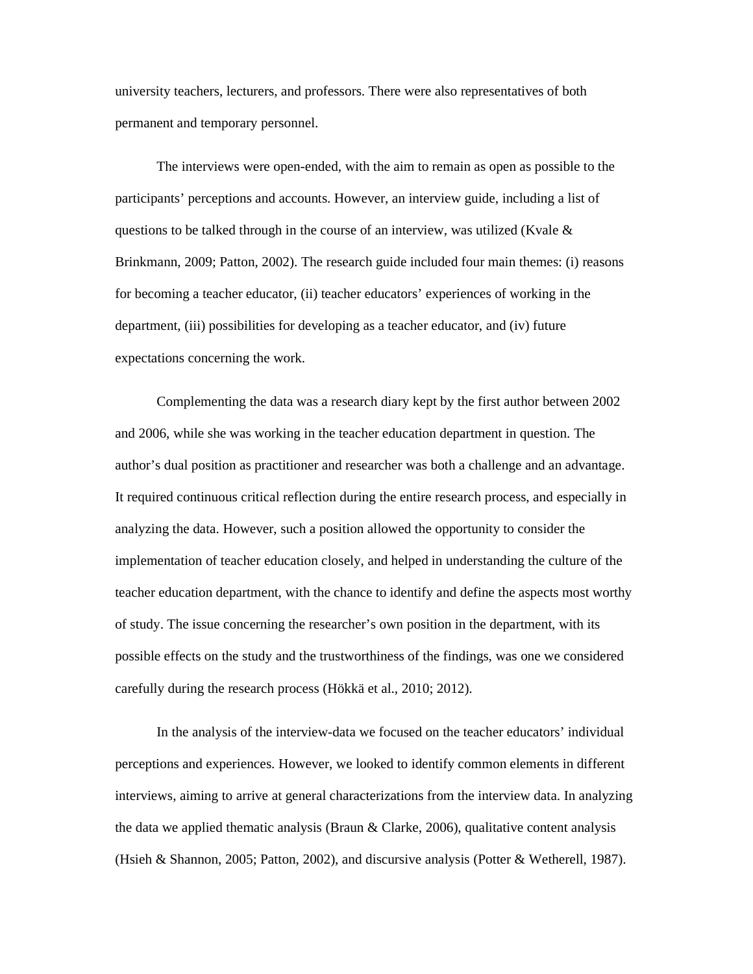university teachers, lecturers, and professors. There were also representatives of both permanent and temporary personnel.

The interviews were open-ended, with the aim to remain as open as possible to the participants' perceptions and accounts. However, an interview guide, including a list of questions to be talked through in the course of an interview, was utilized (Kvale  $\&$ Brinkmann, 2009; Patton, 2002). The research guide included four main themes: (i) reasons for becoming a teacher educator, (ii) teacher educators' experiences of working in the department, (iii) possibilities for developing as a teacher educator, and (iv) future expectations concerning the work.

Complementing the data was a research diary kept by the first author between 2002 and 2006, while she was working in the teacher education department in question. The author's dual position as practitioner and researcher was both a challenge and an advantage. It required continuous critical reflection during the entire research process, and especially in analyzing the data. However, such a position allowed the opportunity to consider the implementation of teacher education closely, and helped in understanding the culture of the teacher education department, with the chance to identify and define the aspects most worthy of study. The issue concerning the researcher's own position in the department, with its possible effects on the study and the trustworthiness of the findings, was one we considered carefully during the research process (Hökkä et al., 2010; 2012).

In the analysis of the interview-data we focused on the teacher educators' individual perceptions and experiences. However, we looked to identify common elements in different interviews, aiming to arrive at general characterizations from the interview data. In analyzing the data we applied thematic analysis (Braun & Clarke, 2006), qualitative content analysis (Hsieh & Shannon, 2005; Patton, 2002), and discursive analysis (Potter & Wetherell, 1987).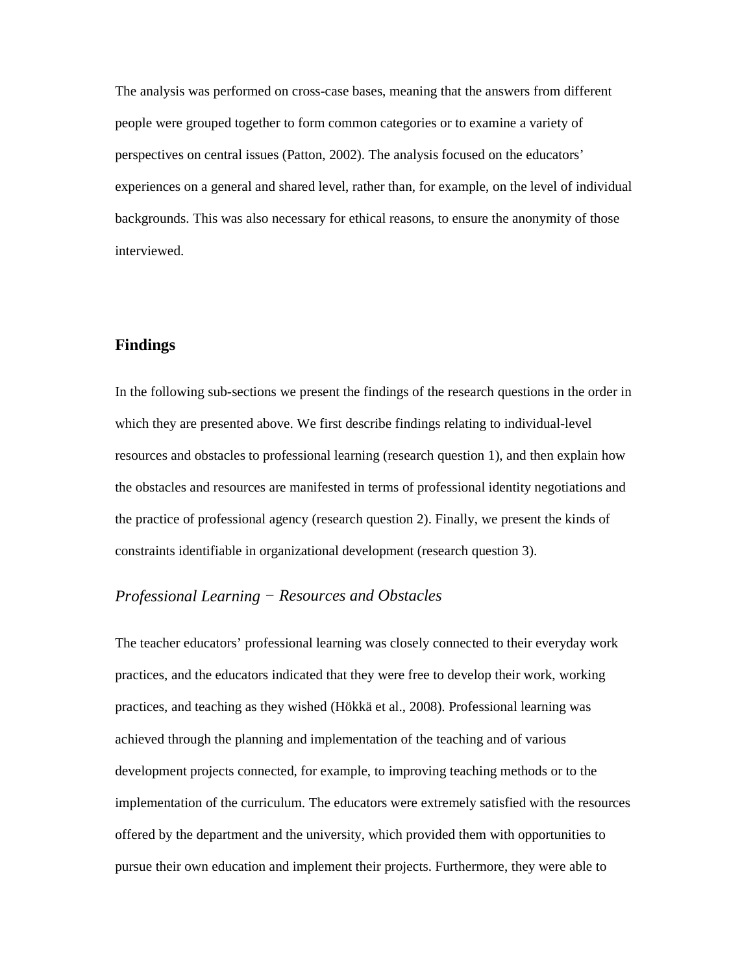The analysis was performed on cross-case bases, meaning that the answers from different people were grouped together to form common categories or to examine a variety of perspectives on central issues (Patton, 2002). The analysis focused on the educators' experiences on a general and shared level, rather than, for example, on the level of individual backgrounds. This was also necessary for ethical reasons, to ensure the anonymity of those interviewed.

## **Findings**

In the following sub-sections we present the findings of the research questions in the order in which they are presented above. We first describe findings relating to individual-level resources and obstacles to professional learning (research question 1), and then explain how the obstacles and resources are manifested in terms of professional identity negotiations and the practice of professional agency (research question 2). Finally, we present the kinds of constraints identifiable in organizational development (research question 3).

# *Professional Learning − Resources and Obstacles*

The teacher educators' professional learning was closely connected to their everyday work practices, and the educators indicated that they were free to develop their work, working practices, and teaching as they wished (Hökkä et al., 2008). Professional learning was achieved through the planning and implementation of the teaching and of various development projects connected, for example, to improving teaching methods or to the implementation of the curriculum. The educators were extremely satisfied with the resources offered by the department and the university, which provided them with opportunities to pursue their own education and implement their projects. Furthermore, they were able to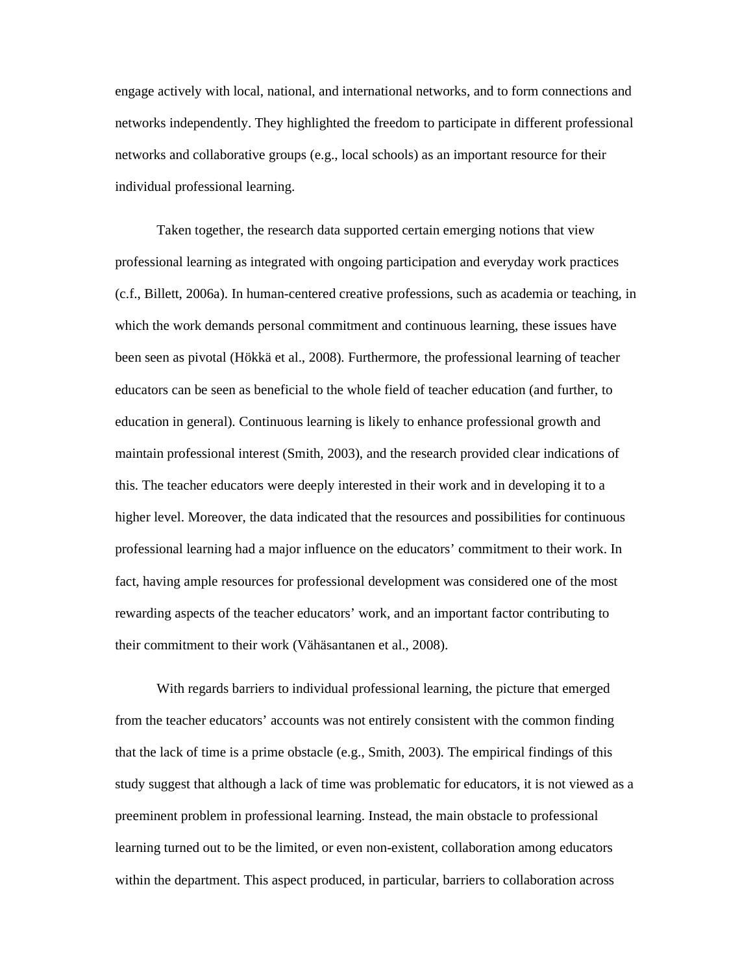engage actively with local, national, and international networks, and to form connections and networks independently. They highlighted the freedom to participate in different professional networks and collaborative groups (e.g., local schools) as an important resource for their individual professional learning.

Taken together, the research data supported certain emerging notions that view professional learning as integrated with ongoing participation and everyday work practices (c.f., Billett, 2006a). In human-centered creative professions, such as academia or teaching, in which the work demands personal commitment and continuous learning, these issues have been seen as pivotal (Hökkä et al., 2008). Furthermore, the professional learning of teacher educators can be seen as beneficial to the whole field of teacher education (and further, to education in general). Continuous learning is likely to enhance professional growth and maintain professional interest (Smith, 2003), and the research provided clear indications of this. The teacher educators were deeply interested in their work and in developing it to a higher level. Moreover, the data indicated that the resources and possibilities for continuous professional learning had a major influence on the educators' commitment to their work. In fact, having ample resources for professional development was considered one of the most rewarding aspects of the teacher educators' work, and an important factor contributing to their commitment to their work (Vähäsantanen et al., 2008).

With regards barriers to individual professional learning, the picture that emerged from the teacher educators' accounts was not entirely consistent with the common finding that the lack of time is a prime obstacle (e.g., Smith, 2003). The empirical findings of this study suggest that although a lack of time was problematic for educators, it is not viewed as a preeminent problem in professional learning. Instead, the main obstacle to professional learning turned out to be the limited, or even non-existent, collaboration among educators within the department. This aspect produced, in particular, barriers to collaboration across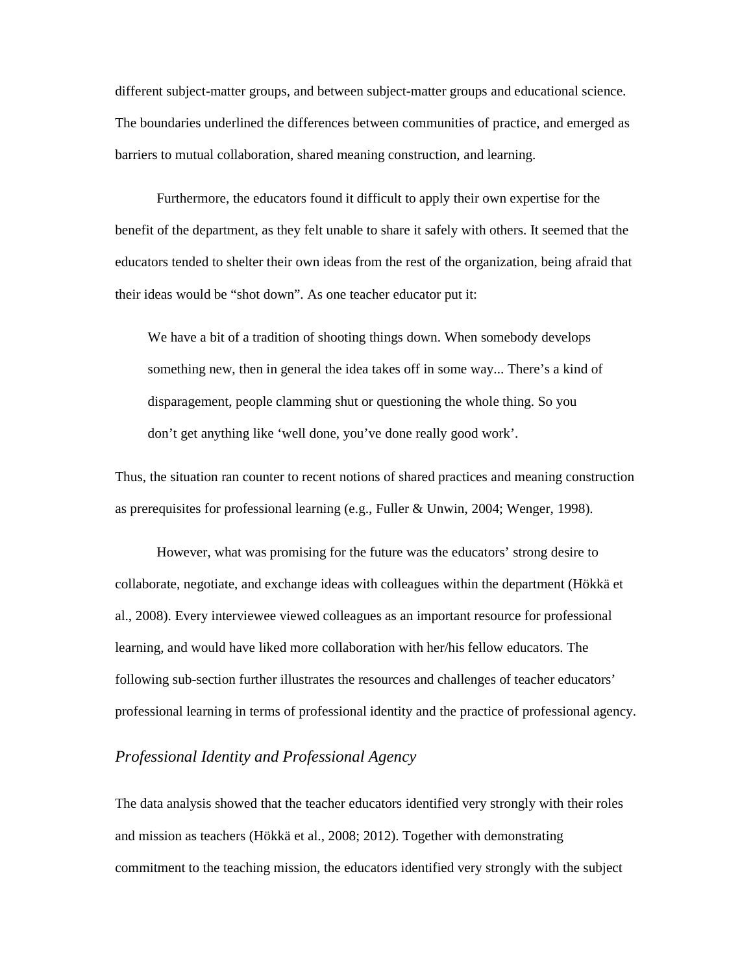different subject-matter groups, and between subject-matter groups and educational science. The boundaries underlined the differences between communities of practice, and emerged as barriers to mutual collaboration, shared meaning construction, and learning.

Furthermore, the educators found it difficult to apply their own expertise for the benefit of the department, as they felt unable to share it safely with others. It seemed that the educators tended to shelter their own ideas from the rest of the organization, being afraid that their ideas would be "shot down". As one teacher educator put it:

We have a bit of a tradition of shooting things down. When somebody develops something new, then in general the idea takes off in some way... There's a kind of disparagement, people clamming shut or questioning the whole thing. So you don't get anything like 'well done, you've done really good work'.

Thus, the situation ran counter to recent notions of shared practices and meaning construction as prerequisites for professional learning (e.g., Fuller & Unwin, 2004; Wenger, 1998).

However, what was promising for the future was the educators' strong desire to collaborate, negotiate, and exchange ideas with colleagues within the department (Hökkä et al., 2008). Every interviewee viewed colleagues as an important resource for professional learning, and would have liked more collaboration with her/his fellow educators. The following sub-section further illustrates the resources and challenges of teacher educators' professional learning in terms of professional identity and the practice of professional agency.

### *Professional Identity and Professional Agency*

The data analysis showed that the teacher educators identified very strongly with their roles and mission as teachers (Hökkä et al., 2008; 2012). Together with demonstrating commitment to the teaching mission, the educators identified very strongly with the subject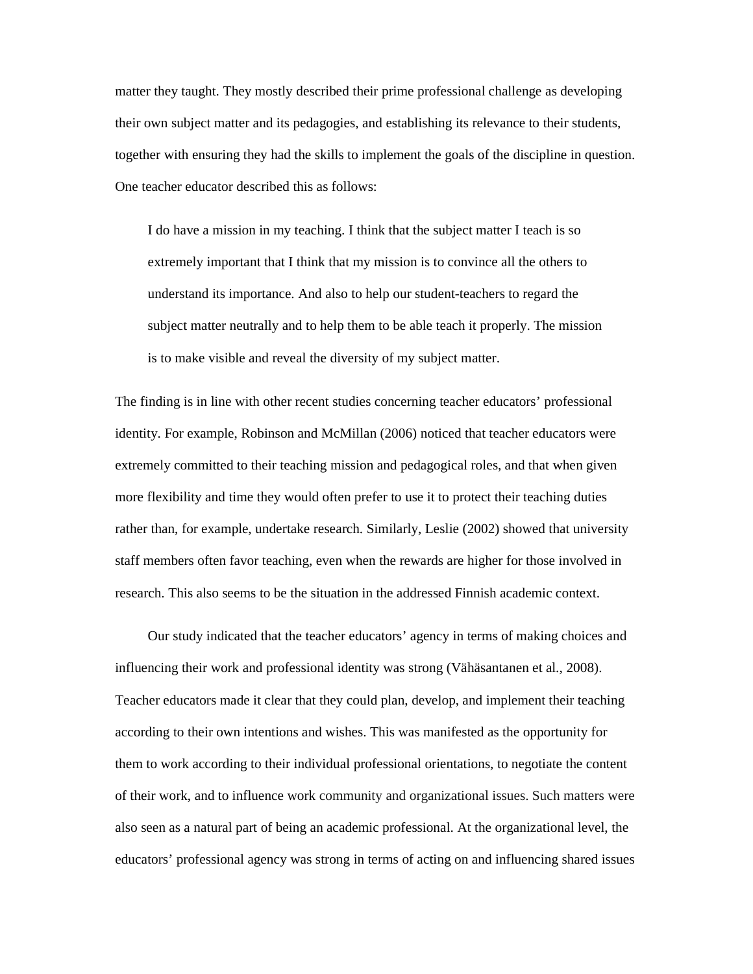matter they taught. They mostly described their prime professional challenge as developing their own subject matter and its pedagogies, and establishing its relevance to their students, together with ensuring they had the skills to implement the goals of the discipline in question. One teacher educator described this as follows:

I do have a mission in my teaching. I think that the subject matter I teach is so extremely important that I think that my mission is to convince all the others to understand its importance. And also to help our student-teachers to regard the subject matter neutrally and to help them to be able teach it properly. The mission is to make visible and reveal the diversity of my subject matter.

The finding is in line with other recent studies concerning teacher educators' professional identity. For example, Robinson and McMillan (2006) noticed that teacher educators were extremely committed to their teaching mission and pedagogical roles, and that when given more flexibility and time they would often prefer to use it to protect their teaching duties rather than, for example, undertake research. Similarly, Leslie (2002) showed that university staff members often favor teaching, even when the rewards are higher for those involved in research. This also seems to be the situation in the addressed Finnish academic context.

Our study indicated that the teacher educators' agency in terms of making choices and influencing their work and professional identity was strong (Vähäsantanen et al., 2008). Teacher educators made it clear that they could plan, develop, and implement their teaching according to their own intentions and wishes. This was manifested as the opportunity for them to work according to their individual professional orientations, to negotiate the content of their work, and to influence work community and organizational issues. Such matters were also seen as a natural part of being an academic professional. At the organizational level, the educators' professional agency was strong in terms of acting on and influencing shared issues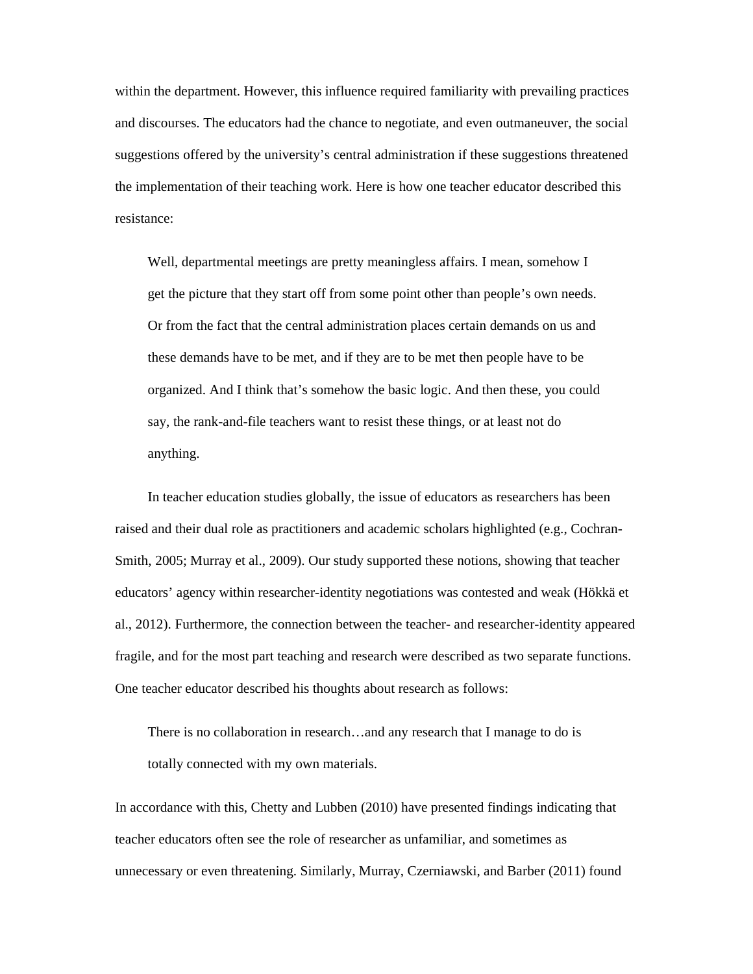within the department. However, this influence required familiarity with prevailing practices and discourses. The educators had the chance to negotiate, and even outmaneuver, the social suggestions offered by the university's central administration if these suggestions threatened the implementation of their teaching work. Here is how one teacher educator described this resistance:

Well, departmental meetings are pretty meaningless affairs. I mean, somehow I get the picture that they start off from some point other than people's own needs. Or from the fact that the central administration places certain demands on us and these demands have to be met, and if they are to be met then people have to be organized. And I think that's somehow the basic logic. And then these, you could say, the rank-and-file teachers want to resist these things, or at least not do anything.

In teacher education studies globally, the issue of educators as researchers has been raised and their dual role as practitioners and academic scholars highlighted (e.g., Cochran-Smith, 2005; Murray et al., 2009). Our study supported these notions, showing that teacher educators' agency within researcher-identity negotiations was contested and weak (Hökkä et al., 2012). Furthermore, the connection between the teacher- and researcher-identity appeared fragile, and for the most part teaching and research were described as two separate functions. One teacher educator described his thoughts about research as follows:

There is no collaboration in research…and any research that I manage to do is totally connected with my own materials.

In accordance with this, Chetty and Lubben (2010) have presented findings indicating that teacher educators often see the role of researcher as unfamiliar, and sometimes as unnecessary or even threatening. Similarly, Murray, Czerniawski, and Barber (2011) found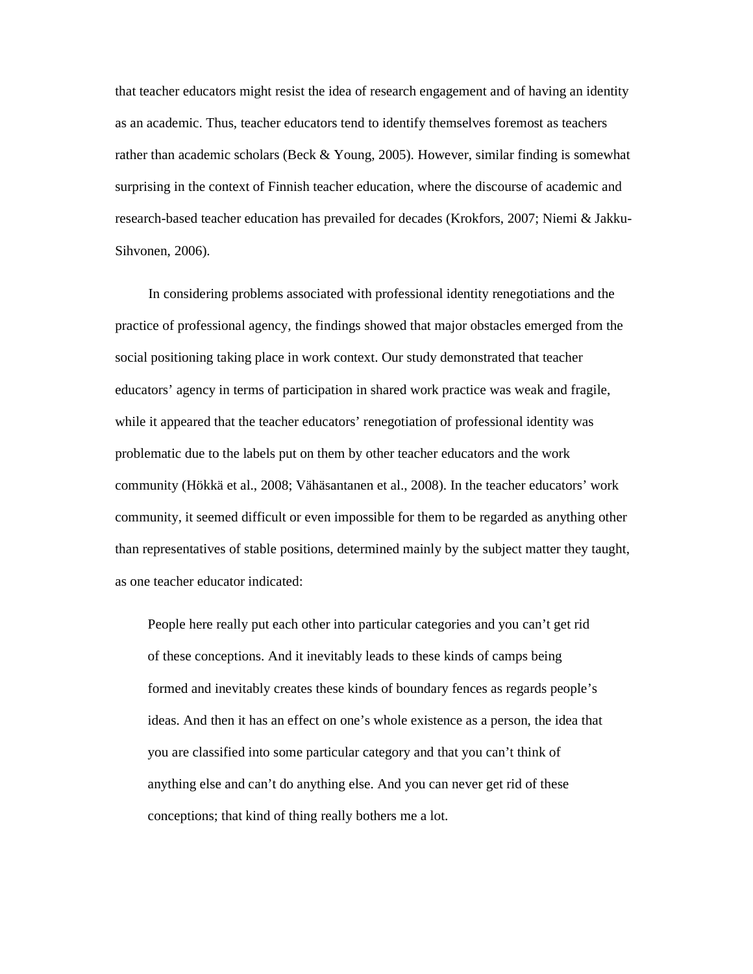that teacher educators might resist the idea of research engagement and of having an identity as an academic. Thus, teacher educators tend to identify themselves foremost as teachers rather than academic scholars (Beck & Young, 2005). However, similar finding is somewhat surprising in the context of Finnish teacher education, where the discourse of academic and research-based teacher education has prevailed for decades (Krokfors, 2007; Niemi & Jakku-Sihvonen, 2006).

In considering problems associated with professional identity renegotiations and the practice of professional agency, the findings showed that major obstacles emerged from the social positioning taking place in work context. Our study demonstrated that teacher educators' agency in terms of participation in shared work practice was weak and fragile, while it appeared that the teacher educators' renegotiation of professional identity was problematic due to the labels put on them by other teacher educators and the work community (Hökkä et al., 2008; Vähäsantanen et al., 2008). In the teacher educators' work community, it seemed difficult or even impossible for them to be regarded as anything other than representatives of stable positions, determined mainly by the subject matter they taught, as one teacher educator indicated:

People here really put each other into particular categories and you can't get rid of these conceptions. And it inevitably leads to these kinds of camps being formed and inevitably creates these kinds of boundary fences as regards people's ideas. And then it has an effect on one's whole existence as a person, the idea that you are classified into some particular category and that you can't think of anything else and can't do anything else. And you can never get rid of these conceptions; that kind of thing really bothers me a lot.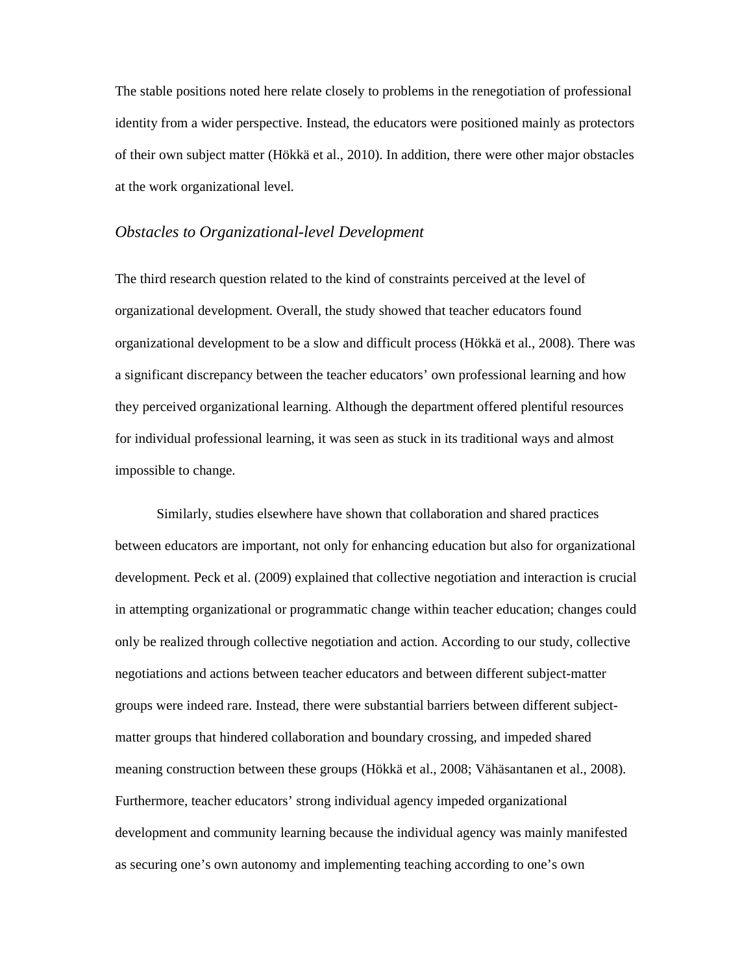The stable positions noted here relate closely to problems in the renegotiation of professional identity from a wider perspective. Instead, the educators were positioned mainly as protectors of their own subject matter (Hökkä et al., 2010). In addition, there were other major obstacles at the work organizational level.

#### *Obstacles to Organizational-level Development*

The third research question related to the kind of constraints perceived at the level of organizational development. Overall, the study showed that teacher educators found organizational development to be a slow and difficult process (Hökkä et al., 2008). There was a significant discrepancy between the teacher educators' own professional learning and how they perceived organizational learning. Although the department offered plentiful resources for individual professional learning, it was seen as stuck in its traditional ways and almost impossible to change.

Similarly, studies elsewhere have shown that collaboration and shared practices between educators are important, not only for enhancing education but also for organizational development. Peck et al. (2009) explained that collective negotiation and interaction is crucial in attempting organizational or programmatic change within teacher education; changes could only be realized through collective negotiation and action. According to our study, collective negotiations and actions between teacher educators and between different subject-matter groups were indeed rare. Instead, there were substantial barriers between different subjectmatter groups that hindered collaboration and boundary crossing, and impeded shared meaning construction between these groups (Hökkä et al., 2008; Vähäsantanen et al., 2008). Furthermore, teacher educators' strong individual agency impeded organizational development and community learning because the individual agency was mainly manifested as securing one's own autonomy and implementing teaching according to one's own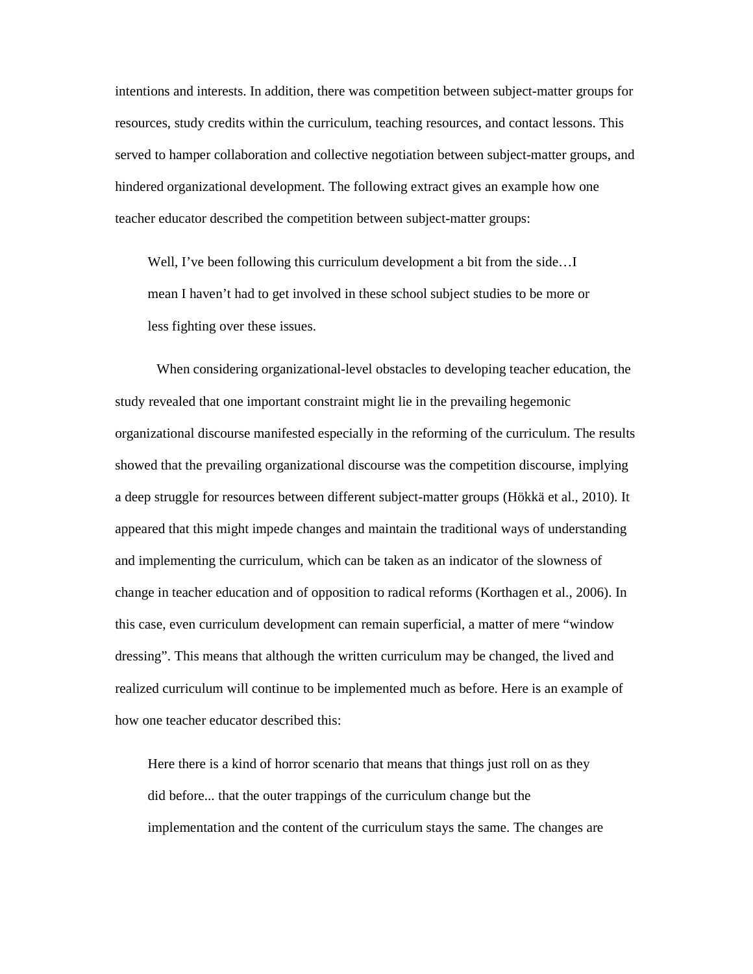intentions and interests. In addition, there was competition between subject-matter groups for resources, study credits within the curriculum, teaching resources, and contact lessons. This served to hamper collaboration and collective negotiation between subject-matter groups, and hindered organizational development. The following extract gives an example how one teacher educator described the competition between subject-matter groups:

Well, I've been following this curriculum development a bit from the side...I mean I haven't had to get involved in these school subject studies to be more or less fighting over these issues.

When considering organizational-level obstacles to developing teacher education, the study revealed that one important constraint might lie in the prevailing hegemonic organizational discourse manifested especially in the reforming of the curriculum. The results showed that the prevailing organizational discourse was the competition discourse, implying a deep struggle for resources between different subject-matter groups (Hökkä et al., 2010). It appeared that this might impede changes and maintain the traditional ways of understanding and implementing the curriculum, which can be taken as an indicator of the slowness of change in teacher education and of opposition to radical reforms (Korthagen et al., 2006). In this case, even curriculum development can remain superficial, a matter of mere "window dressing". This means that although the written curriculum may be changed, the lived and realized curriculum will continue to be implemented much as before. Here is an example of how one teacher educator described this:

Here there is a kind of horror scenario that means that things just roll on as they did before... that the outer trappings of the curriculum change but the implementation and the content of the curriculum stays the same. The changes are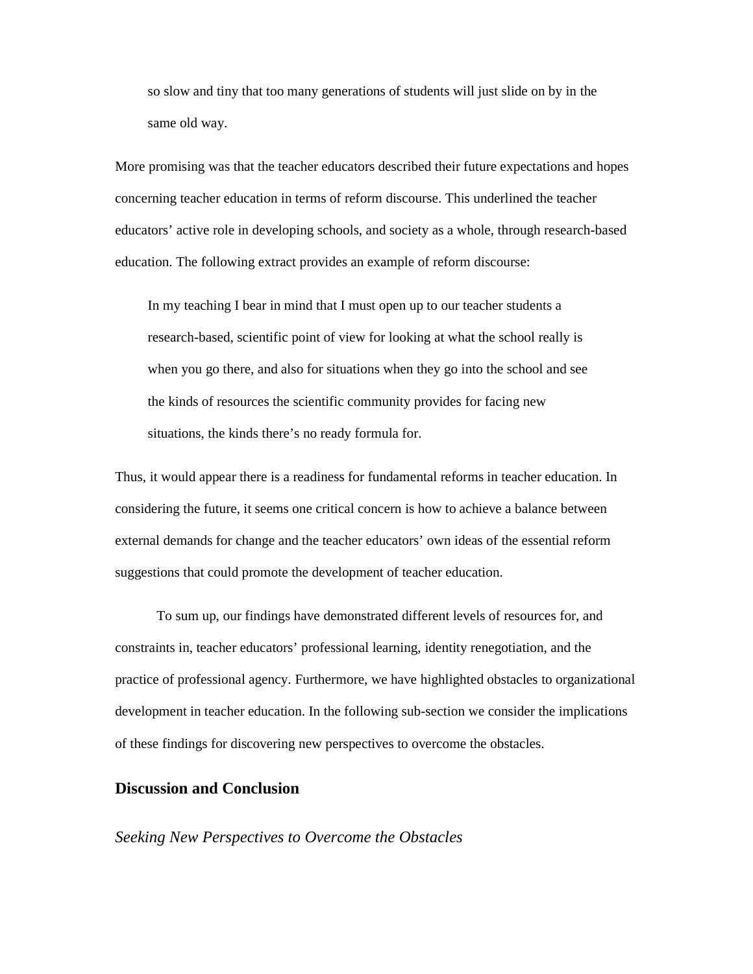so slow and tiny that too many generations of students will just slide on by in the same old way.

More promising was that the teacher educators described their future expectations and hopes concerning teacher education in terms of reform discourse. This underlined the teacher educators' active role in developing schools, and society as a whole, through research-based education. The following extract provides an example of reform discourse:

In my teaching I bear in mind that I must open up to our teacher students a research-based, scientific point of view for looking at what the school really is when you go there, and also for situations when they go into the school and see the kinds of resources the scientific community provides for facing new situations, the kinds there's no ready formula for.

Thus, it would appear there is a readiness for fundamental reforms in teacher education. In considering the future, it seems one critical concern is how to achieve a balance between external demands for change and the teacher educators' own ideas of the essential reform suggestions that could promote the development of teacher education.

To sum up, our findings have demonstrated different levels of resources for, and constraints in, teacher educators' professional learning, identity renegotiation, and the practice of professional agency. Furthermore, we have highlighted obstacles to organizational development in teacher education. In the following sub-section we consider the implications of these findings for discovering new perspectives to overcome the obstacles.

# **Discussion and Conclusion**

#### *Seeking New Perspectives to Overcome the Obstacles*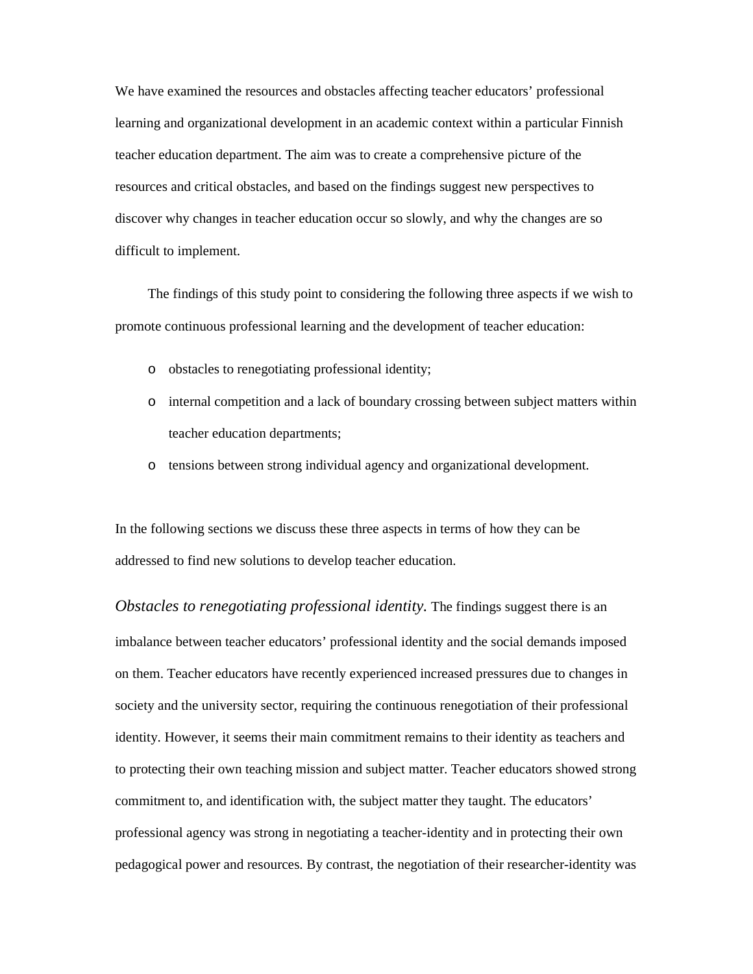We have examined the resources and obstacles affecting teacher educators' professional learning and organizational development in an academic context within a particular Finnish teacher education department. The aim was to create a comprehensive picture of the resources and critical obstacles, and based on the findings suggest new perspectives to discover why changes in teacher education occur so slowly, and why the changes are so difficult to implement.

The findings of this study point to considering the following three aspects if we wish to promote continuous professional learning and the development of teacher education:

- o obstacles to renegotiating professional identity;
- o internal competition and a lack of boundary crossing between subject matters within teacher education departments;
- o tensions between strong individual agency and organizational development.

In the following sections we discuss these three aspects in terms of how they can be addressed to find new solutions to develop teacher education.

*Obstacles to renegotiating professional identity.* The findings suggest there is an imbalance between teacher educators' professional identity and the social demands imposed on them. Teacher educators have recently experienced increased pressures due to changes in society and the university sector, requiring the continuous renegotiation of their professional identity. However, it seems their main commitment remains to their identity as teachers and to protecting their own teaching mission and subject matter. Teacher educators showed strong commitment to, and identification with, the subject matter they taught. The educators' professional agency was strong in negotiating a teacher-identity and in protecting their own pedagogical power and resources. By contrast, the negotiation of their researcher-identity was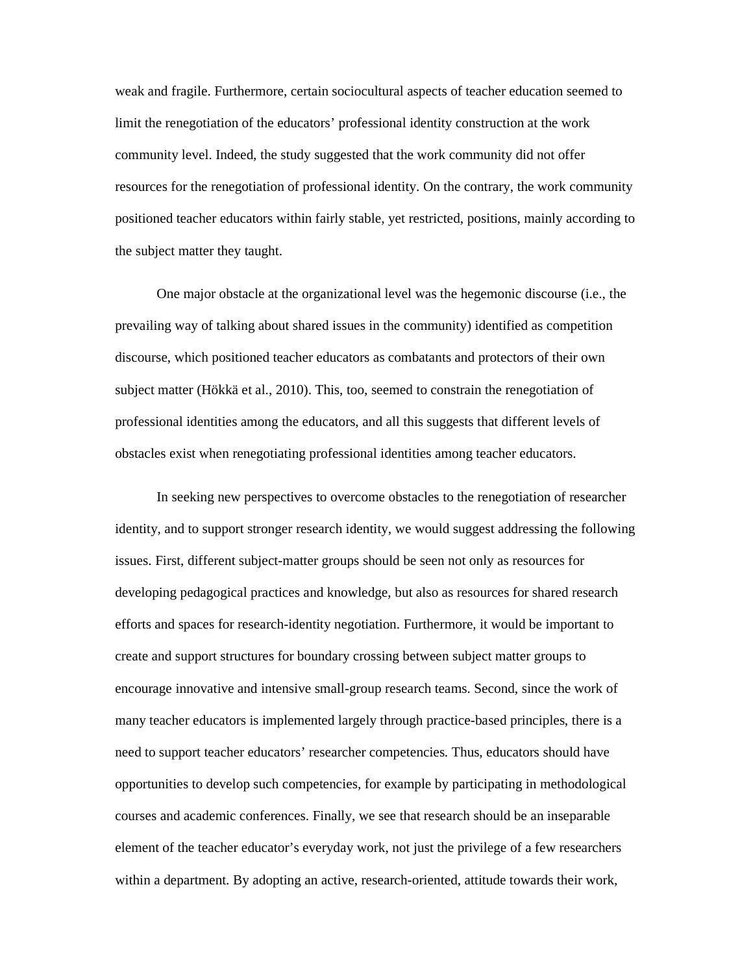weak and fragile. Furthermore, certain sociocultural aspects of teacher education seemed to limit the renegotiation of the educators' professional identity construction at the work community level. Indeed, the study suggested that the work community did not offer resources for the renegotiation of professional identity. On the contrary, the work community positioned teacher educators within fairly stable, yet restricted, positions, mainly according to the subject matter they taught.

One major obstacle at the organizational level was the hegemonic discourse (i.e., the prevailing way of talking about shared issues in the community) identified as competition discourse, which positioned teacher educators as combatants and protectors of their own subject matter (Hökkä et al., 2010). This, too, seemed to constrain the renegotiation of professional identities among the educators, and all this suggests that different levels of obstacles exist when renegotiating professional identities among teacher educators.

In seeking new perspectives to overcome obstacles to the renegotiation of researcher identity, and to support stronger research identity, we would suggest addressing the following issues. First, different subject-matter groups should be seen not only as resources for developing pedagogical practices and knowledge, but also as resources for shared research efforts and spaces for research-identity negotiation. Furthermore, it would be important to create and support structures for boundary crossing between subject matter groups to encourage innovative and intensive small-group research teams. Second, since the work of many teacher educators is implemented largely through practice-based principles, there is a need to support teacher educators' researcher competencies. Thus, educators should have opportunities to develop such competencies, for example by participating in methodological courses and academic conferences. Finally, we see that research should be an inseparable element of the teacher educator's everyday work, not just the privilege of a few researchers within a department. By adopting an active, research-oriented, attitude towards their work,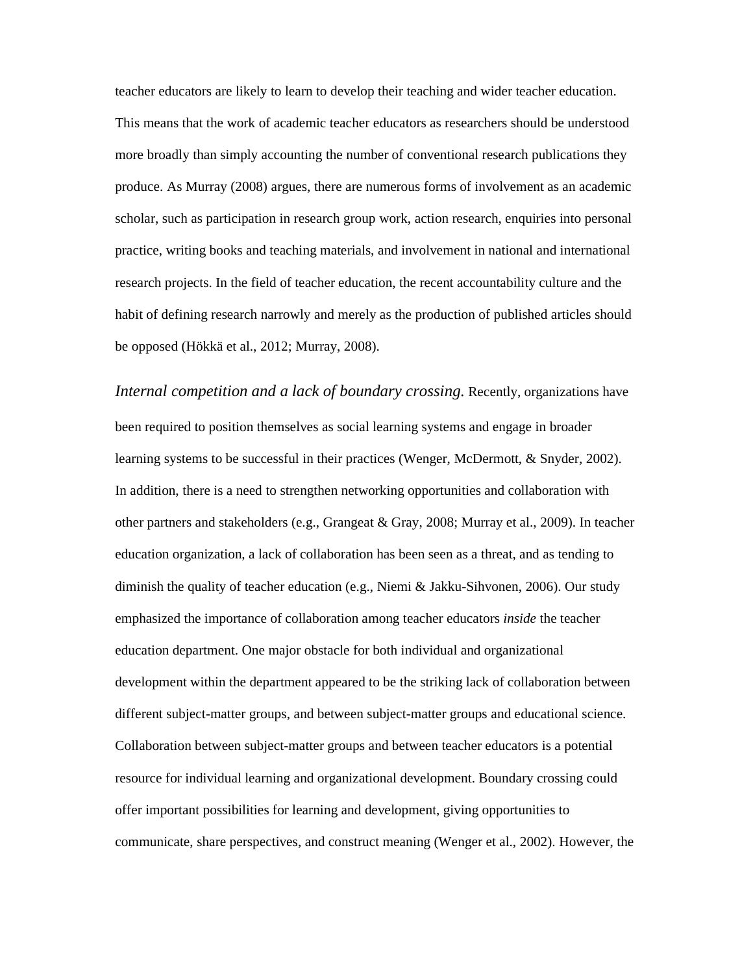teacher educators are likely to learn to develop their teaching and wider teacher education. This means that the work of academic teacher educators as researchers should be understood more broadly than simply accounting the number of conventional research publications they produce. As Murray (2008) argues, there are numerous forms of involvement as an academic scholar, such as participation in research group work, action research, enquiries into personal practice, writing books and teaching materials, and involvement in national and international research projects. In the field of teacher education, the recent accountability culture and the habit of defining research narrowly and merely as the production of published articles should be opposed (Hökkä et al., 2012; Murray, 2008).

*Internal competition and a lack of boundary crossing.* Recently, organizations have been required to position themselves as social learning systems and engage in broader learning systems to be successful in their practices (Wenger, McDermott, & Snyder, 2002). In addition, there is a need to strengthen networking opportunities and collaboration with other partners and stakeholders (e.g., Grangeat & Gray, 2008; Murray et al., 2009). In teacher education organization, a lack of collaboration has been seen as a threat, and as tending to diminish the quality of teacher education (e.g., Niemi & Jakku-Sihvonen, 2006). Our study emphasized the importance of collaboration among teacher educators *inside* the teacher education department. One major obstacle for both individual and organizational development within the department appeared to be the striking lack of collaboration between different subject-matter groups, and between subject-matter groups and educational science. Collaboration between subject-matter groups and between teacher educators is a potential resource for individual learning and organizational development. Boundary crossing could offer important possibilities for learning and development, giving opportunities to communicate, share perspectives, and construct meaning (Wenger et al., 2002). However, the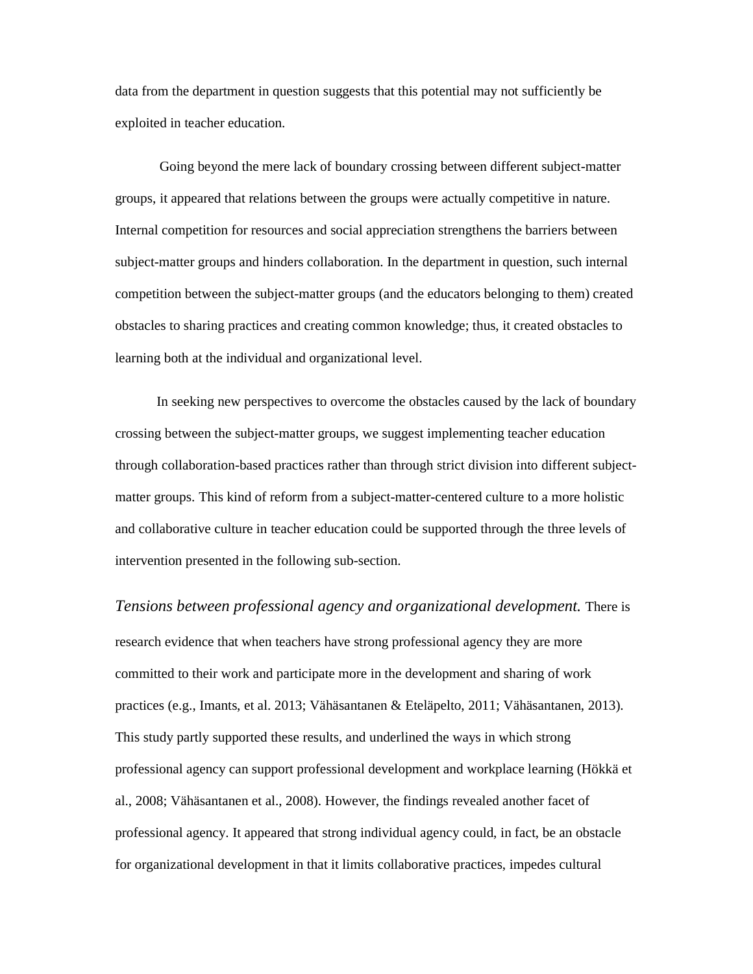data from the department in question suggests that this potential may not sufficiently be exploited in teacher education.

Going beyond the mere lack of boundary crossing between different subject-matter groups, it appeared that relations between the groups were actually competitive in nature. Internal competition for resources and social appreciation strengthens the barriers between subject-matter groups and hinders collaboration. In the department in question, such internal competition between the subject-matter groups (and the educators belonging to them) created obstacles to sharing practices and creating common knowledge; thus, it created obstacles to learning both at the individual and organizational level.

In seeking new perspectives to overcome the obstacles caused by the lack of boundary crossing between the subject-matter groups, we suggest implementing teacher education through collaboration-based practices rather than through strict division into different subjectmatter groups. This kind of reform from a subject-matter-centered culture to a more holistic and collaborative culture in teacher education could be supported through the three levels of intervention presented in the following sub-section.

*Tensions between professional agency and organizational development.* There is research evidence that when teachers have strong professional agency they are more committed to their work and participate more in the development and sharing of work practices (e.g., Imants, et al. 2013; Vähäsantanen & Eteläpelto, 2011; Vähäsantanen, 2013). This study partly supported these results, and underlined the ways in which strong professional agency can support professional development and workplace learning (Hökkä et al., 2008; Vähäsantanen et al., 2008). However, the findings revealed another facet of professional agency. It appeared that strong individual agency could, in fact, be an obstacle for organizational development in that it limits collaborative practices, impedes cultural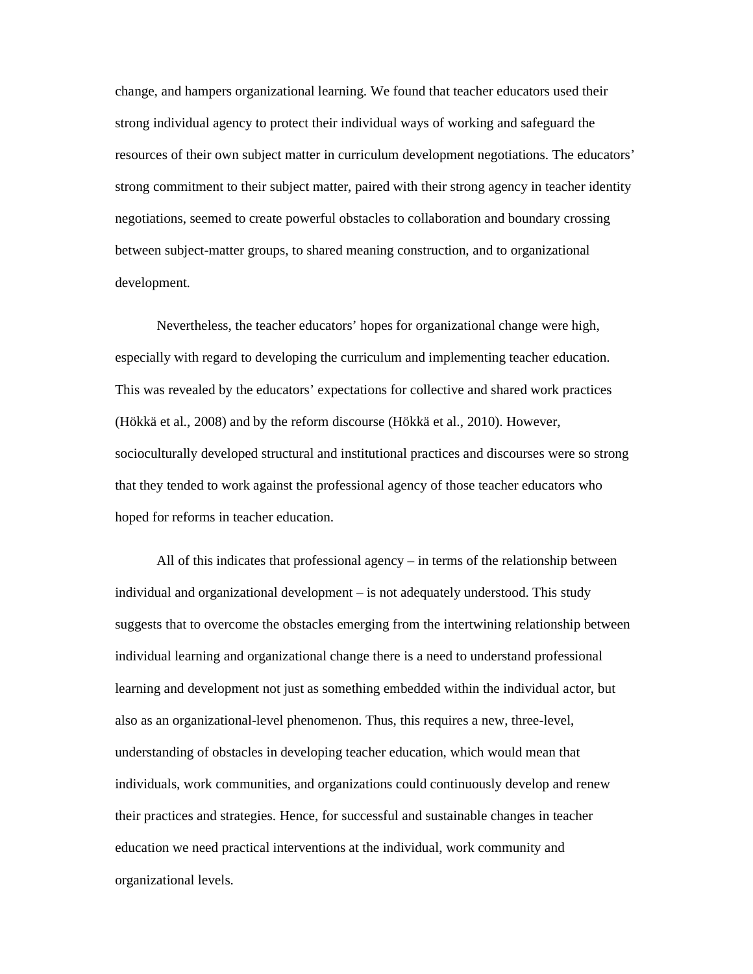change, and hampers organizational learning. We found that teacher educators used their strong individual agency to protect their individual ways of working and safeguard the resources of their own subject matter in curriculum development negotiations. The educators' strong commitment to their subject matter, paired with their strong agency in teacher identity negotiations, seemed to create powerful obstacles to collaboration and boundary crossing between subject-matter groups, to shared meaning construction, and to organizational development.

Nevertheless, the teacher educators' hopes for organizational change were high, especially with regard to developing the curriculum and implementing teacher education. This was revealed by the educators' expectations for collective and shared work practices (Hökkä et al., 2008) and by the reform discourse (Hökkä et al., 2010). However, socioculturally developed structural and institutional practices and discourses were so strong that they tended to work against the professional agency of those teacher educators who hoped for reforms in teacher education.

All of this indicates that professional agency – in terms of the relationship between individual and organizational development – is not adequately understood. This study suggests that to overcome the obstacles emerging from the intertwining relationship between individual learning and organizational change there is a need to understand professional learning and development not just as something embedded within the individual actor, but also as an organizational-level phenomenon. Thus, this requires a new, three-level, understanding of obstacles in developing teacher education, which would mean that individuals, work communities, and organizations could continuously develop and renew their practices and strategies. Hence, for successful and sustainable changes in teacher education we need practical interventions at the individual, work community and organizational levels.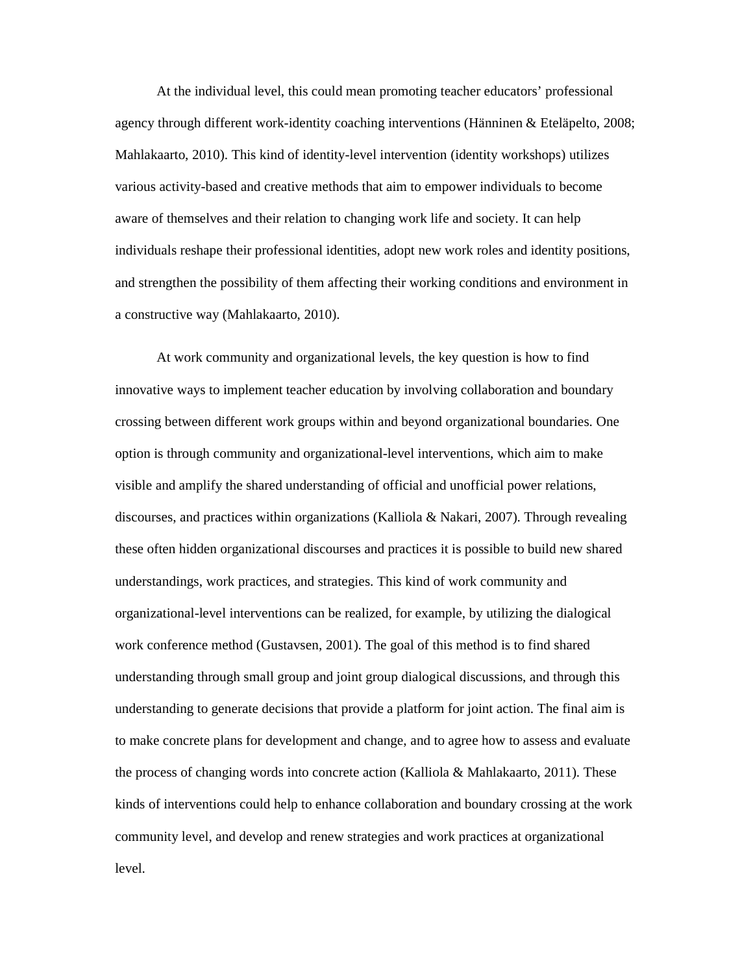At the individual level, this could mean promoting teacher educators' professional agency through different work-identity coaching interventions (Hänninen & Eteläpelto, 2008; Mahlakaarto, 2010). This kind of identity-level intervention (identity workshops) utilizes various activity-based and creative methods that aim to empower individuals to become aware of themselves and their relation to changing work life and society. It can help individuals reshape their professional identities, adopt new work roles and identity positions, and strengthen the possibility of them affecting their working conditions and environment in a constructive way (Mahlakaarto, 2010).

At work community and organizational levels, the key question is how to find innovative ways to implement teacher education by involving collaboration and boundary crossing between different work groups within and beyond organizational boundaries. One option is through community and organizational-level interventions, which aim to make visible and amplify the shared understanding of official and unofficial power relations, discourses, and practices within organizations (Kalliola & Nakari, 2007). Through revealing these often hidden organizational discourses and practices it is possible to build new shared understandings, work practices, and strategies. This kind of work community and organizational-level interventions can be realized, for example, by utilizing the dialogical work conference method (Gustavsen, 2001). The goal of this method is to find shared understanding through small group and joint group dialogical discussions, and through this understanding to generate decisions that provide a platform for joint action. The final aim is to make concrete plans for development and change, and to agree how to assess and evaluate the process of changing words into concrete action (Kalliola & Mahlakaarto, 2011). These kinds of interventions could help to enhance collaboration and boundary crossing at the work community level, and develop and renew strategies and work practices at organizational level.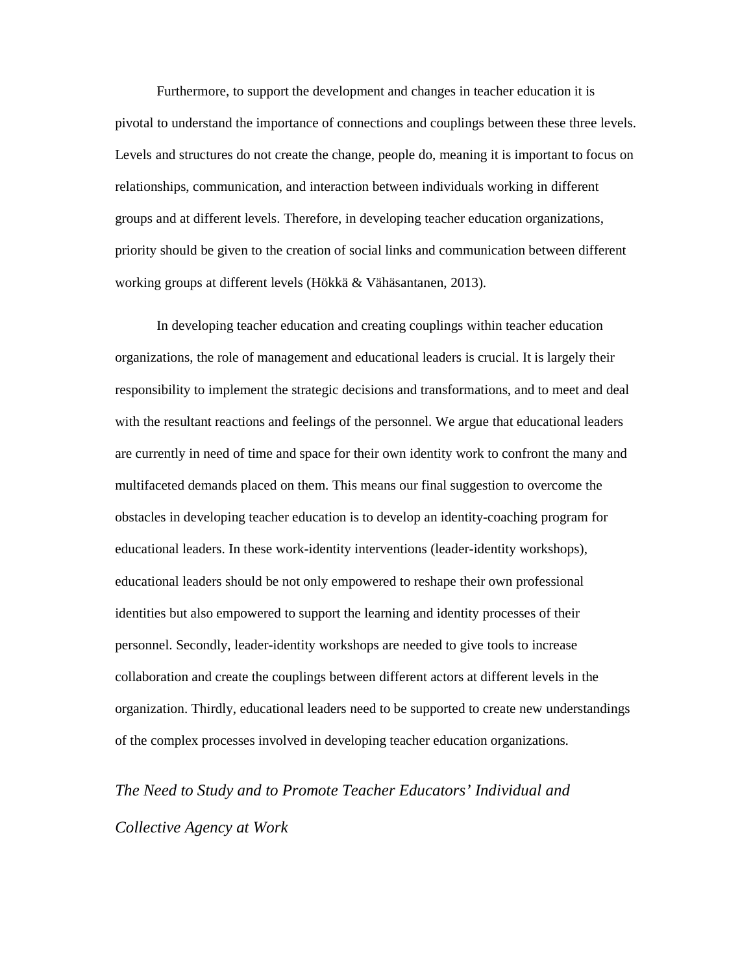Furthermore, to support the development and changes in teacher education it is pivotal to understand the importance of connections and couplings between these three levels. Levels and structures do not create the change, people do, meaning it is important to focus on relationships, communication, and interaction between individuals working in different groups and at different levels. Therefore, in developing teacher education organizations, priority should be given to the creation of social links and communication between different working groups at different levels (Hökkä & Vähäsantanen, 2013).

In developing teacher education and creating couplings within teacher education organizations, the role of management and educational leaders is crucial. It is largely their responsibility to implement the strategic decisions and transformations, and to meet and deal with the resultant reactions and feelings of the personnel. We argue that educational leaders are currently in need of time and space for their own identity work to confront the many and multifaceted demands placed on them. This means our final suggestion to overcome the obstacles in developing teacher education is to develop an identity-coaching program for educational leaders. In these work-identity interventions (leader-identity workshops), educational leaders should be not only empowered to reshape their own professional identities but also empowered to support the learning and identity processes of their personnel. Secondly, leader-identity workshops are needed to give tools to increase collaboration and create the couplings between different actors at different levels in the organization. Thirdly, educational leaders need to be supported to create new understandings of the complex processes involved in developing teacher education organizations.

*The Need to Study and to Promote Teacher Educators' Individual and Collective Agency at Work*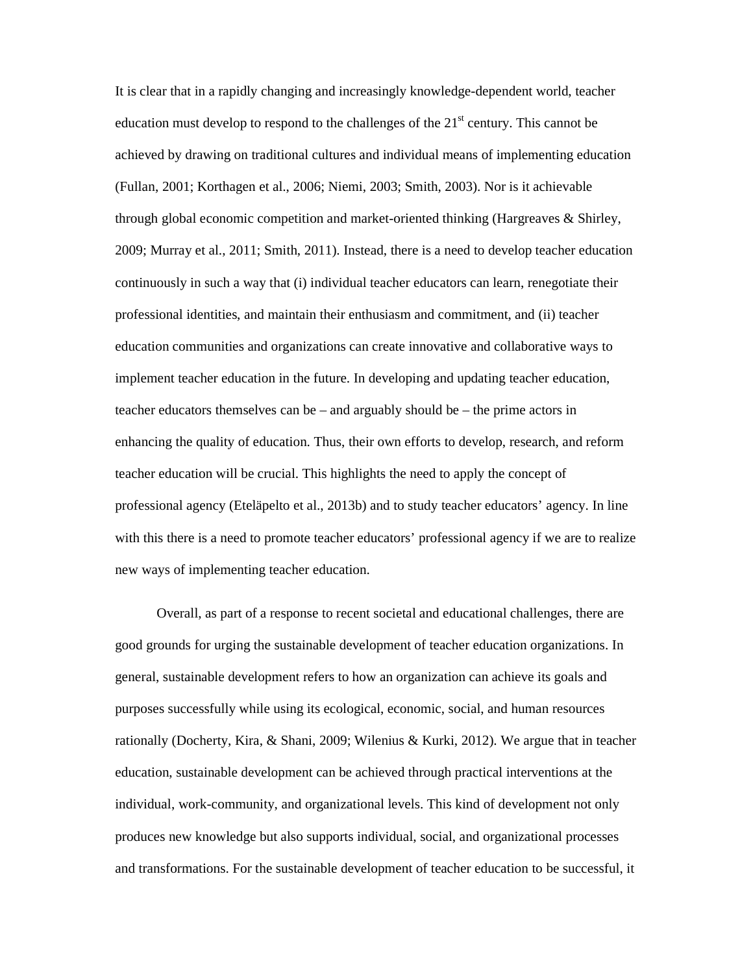It is clear that in a rapidly changing and increasingly knowledge-dependent world, teacher education must develop to respond to the challenges of the  $21<sup>st</sup>$  century. This cannot be achieved by drawing on traditional cultures and individual means of implementing education (Fullan, 2001; Korthagen et al., 2006; Niemi, 2003; Smith, 2003). Nor is it achievable through global economic competition and market-oriented thinking (Hargreaves & Shirley, 2009; Murray et al., 2011; Smith, 2011). Instead, there is a need to develop teacher education continuously in such a way that (i) individual teacher educators can learn, renegotiate their professional identities, and maintain their enthusiasm and commitment, and (ii) teacher education communities and organizations can create innovative and collaborative ways to implement teacher education in the future. In developing and updating teacher education, teacher educators themselves can be – and arguably should be – the prime actors in enhancing the quality of education. Thus, their own efforts to develop, research, and reform teacher education will be crucial. This highlights the need to apply the concept of professional agency (Eteläpelto et al., 2013b) and to study teacher educators' agency. In line with this there is a need to promote teacher educators' professional agency if we are to realize new ways of implementing teacher education.

Overall, as part of a response to recent societal and educational challenges, there are good grounds for urging the sustainable development of teacher education organizations. In general, sustainable development refers to how an organization can achieve its goals and purposes successfully while using its ecological, economic, social, and human resources rationally (Docherty, Kira, & Shani, 2009; Wilenius & Kurki, 2012). We argue that in teacher education, sustainable development can be achieved through practical interventions at the individual, work-community, and organizational levels. This kind of development not only produces new knowledge but also supports individual, social, and organizational processes and transformations. For the sustainable development of teacher education to be successful, it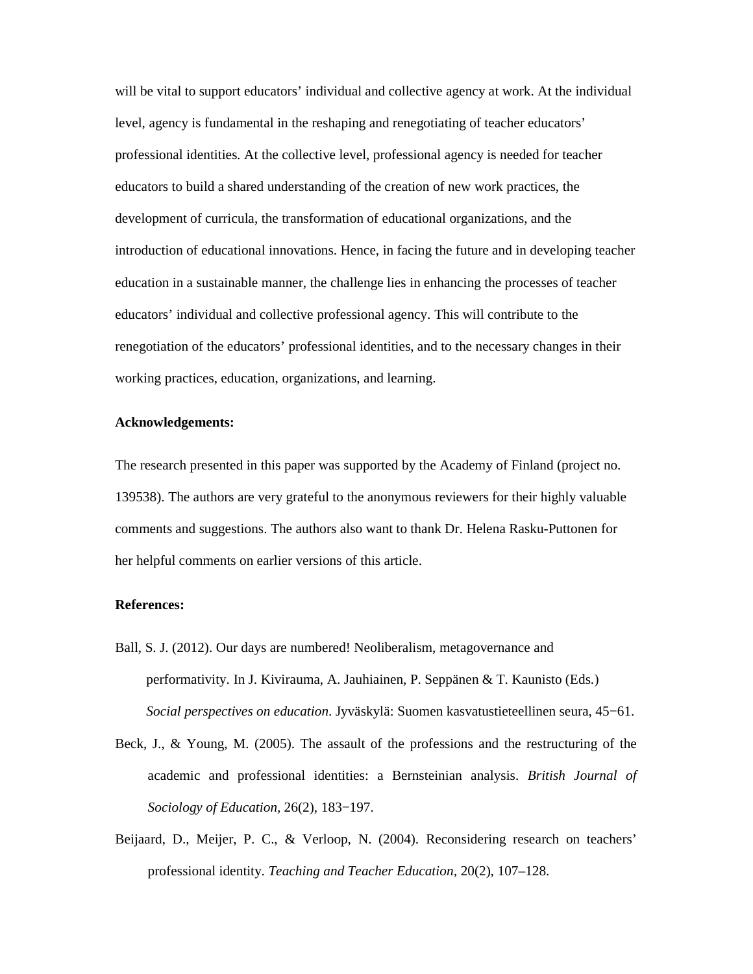will be vital to support educators' individual and collective agency at work. At the individual level, agency is fundamental in the reshaping and renegotiating of teacher educators' professional identities. At the collective level, professional agency is needed for teacher educators to build a shared understanding of the creation of new work practices, the development of curricula, the transformation of educational organizations, and the introduction of educational innovations. Hence, in facing the future and in developing teacher education in a sustainable manner, the challenge lies in enhancing the processes of teacher educators' individual and collective professional agency. This will contribute to the renegotiation of the educators' professional identities, and to the necessary changes in their working practices, education, organizations, and learning.

#### **Acknowledgements:**

The research presented in this paper was supported by the Academy of Finland (project no. 139538). The authors are very grateful to the anonymous reviewers for their highly valuable comments and suggestions. The authors also want to thank Dr. Helena Rasku-Puttonen for her helpful comments on earlier versions of this article.

#### **References:**

- Ball, S. J. (2012). Our days are numbered! Neoliberalism, metagovernance and performativity. In J. Kivirauma, A. Jauhiainen, P. Seppänen & T. Kaunisto (Eds.) *Social perspectives on education*. Jyväskylä: Suomen kasvatustieteellinen seura, 45−61.
- Beck, J., & Young, M. (2005). The assault of the professions and the restructuring of the academic and professional identities: a Bernsteinian analysis. *British Journal of Sociology of Education,* 26(2), 183−197.
- Beijaard, D., Meijer, P. C., & Verloop, N. (2004). Reconsidering research on teachers' professional identity. *Teaching and Teacher Education,* 20(2), 107–128.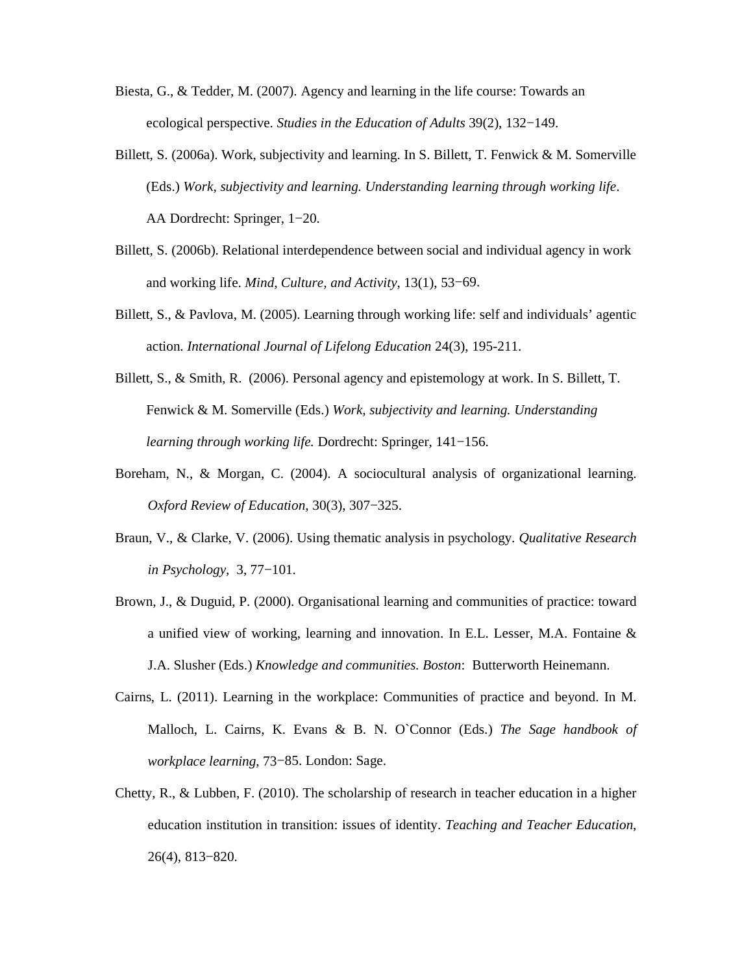- Biesta, G., & Tedder, M. (2007). Agency and learning in the life course: Towards an ecological perspective. *Studies in the Education of Adults* 39(2), 132−149.
- Billett, S. (2006a). Work, subjectivity and learning. In S. Billett, T. Fenwick & M. Somerville (Eds.) *Work, subjectivity and learning. Understanding learning through working life*. AA Dordrecht: Springer, 1−20.
- Billett, S. (2006b). Relational interdependence between social and individual agency in work and working life. *Mind, Culture, and Activity*, 13(1), 53−69.
- Billett, S., & Pavlova, M. (2005). Learning through working life: self and individuals' agentic action. *International Journal of Lifelong Education* 24(3), 195-211.
- Billett, S., & Smith, R. (2006). Personal agency and epistemology at work. In S. Billett, T. Fenwick & M. Somerville (Eds.) *Work, subjectivity and learning. Understanding learning through working life.* Dordrecht: Springer, 141−156.
- Boreham, N., & Morgan, C. (2004). A sociocultural analysis of organizational learning. *Oxford Review of Education,* 30(3), 307−325.
- Braun, V., & Clarke, V. (2006). Using thematic analysis in psychology. *Qualitative Research in Psychology,* 3, 77−101.
- Brown, J., & Duguid, P. (2000). Organisational learning and communities of practice: toward a unified view of working, learning and innovation. In E.L. Lesser, M.A. Fontaine & J.A. Slusher (Eds.) *Knowledge and communities. Boston*: Butterworth Heinemann.
- Cairns, L. (2011). Learning in the workplace: Communities of practice and beyond. In M. Malloch, L. Cairns, K. Evans & B. N. O`Connor (Eds.) *The Sage handbook of workplace learning*, 73−85. London: Sage.
- Chetty, R., & Lubben, F. (2010). The scholarship of research in teacher education in a higher education institution in transition: issues of identity. *Teaching and Teacher Education*, 26(4), 813−820.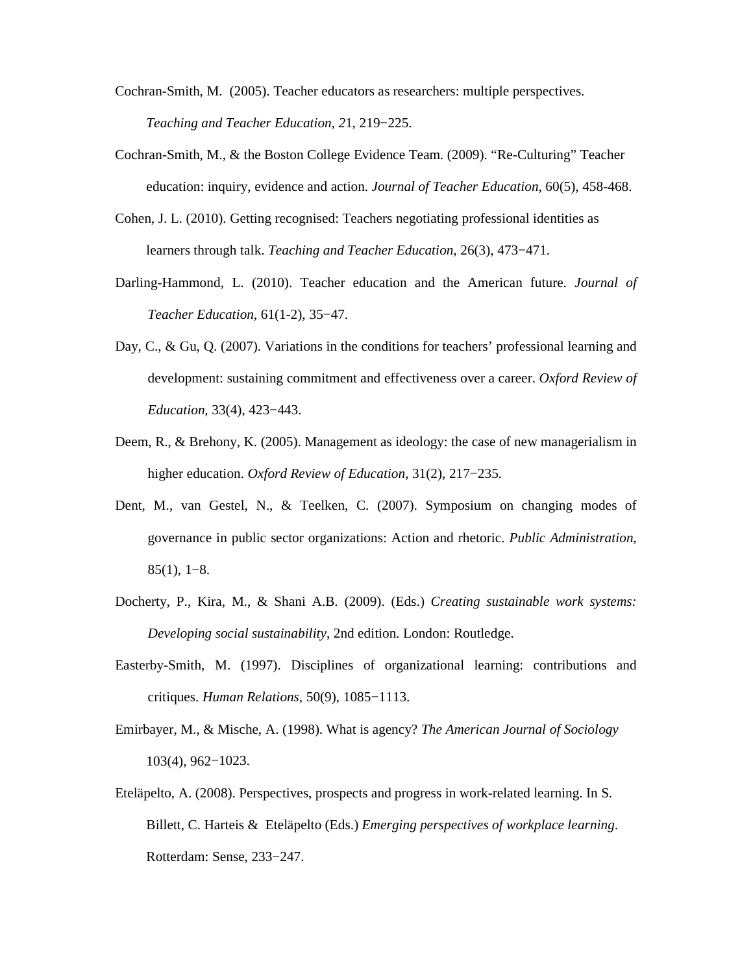- Cochran-Smith, M. (2005). Teacher educators as researchers: multiple perspectives. *Teaching and Teacher Education, 2*1, 219−225.
- Cochran-Smith, M., & the Boston College Evidence Team. (2009). "Re-Culturing" Teacher education: inquiry, evidence and action. *Journal of Teacher Education*, 60(5), 458-468.
- Cohen, J. L. (2010). Getting recognised: Teachers negotiating professional identities as learners through talk. *Teaching and Teacher Education*, 26(3), 473−471.
- Darling-Hammond, L. (2010). Teacher education and the American future. *Journal of Teacher Education,* 61(1-2), 35−47.
- Day, C., & Gu, Q. (2007). Variations in the conditions for teachers' professional learning and development: sustaining commitment and effectiveness over a career. *Oxford Review of Education,* 33(4), 423−443.
- Deem, R., & Brehony, K. (2005). Management as ideology: the case of new managerialism in higher education. *Oxford Review of Education*, 31(2), 217−235.
- Dent, M., van Gestel, N., & Teelken, C. (2007). Symposium on changing modes of governance in public sector organizations: Action and rhetoric. *Public Administration*, 85(1), 1−8.
- Docherty, P., Kira, M., & Shani A.B. (2009). (Eds.) *Creating sustainable work systems: Developing social sustainability*, 2nd edition. London: Routledge.
- Easterby-Smith, M. (1997). Disciplines of organizational learning: contributions and critiques. *Human Relations*, 50(9), 1085−1113.
- Emirbayer, M., & Mische, A. (1998). What is agency? *The American Journal of Sociology* 103(4), 962−1023.
- Eteläpelto, A. (2008). Perspectives, prospects and progress in work-related learning. In S. Billett, C. Harteis & Eteläpelto (Eds.) *Emerging perspectives of workplace learning*. Rotterdam: Sense, 233−247.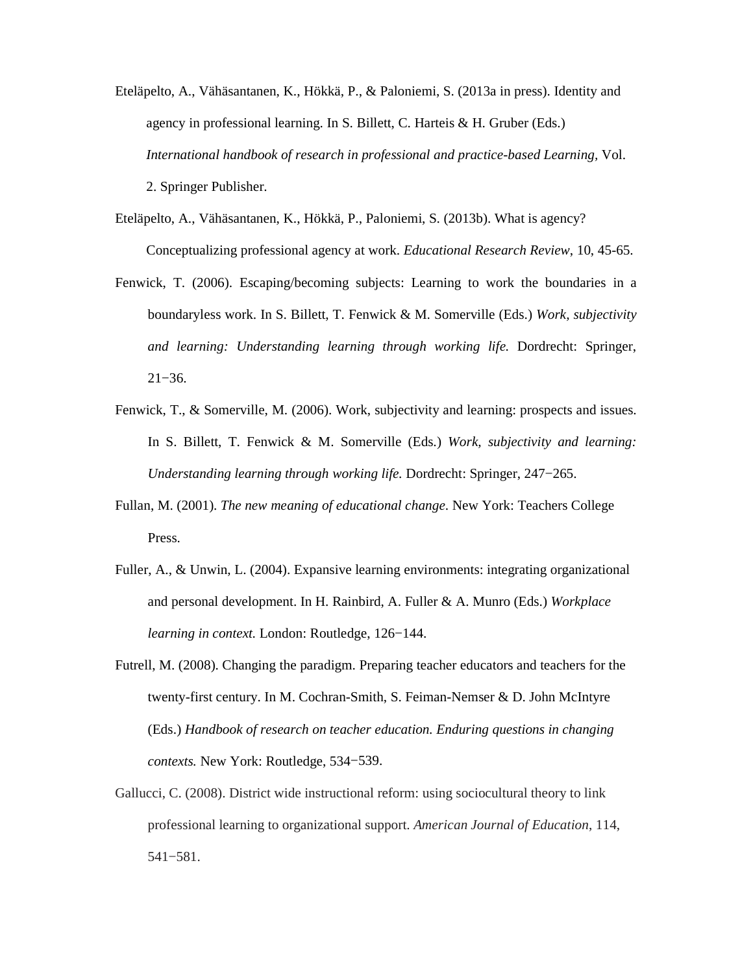- Eteläpelto, A., Vähäsantanen, K., Hökkä, P., & Paloniemi, S. (2013a in press). Identity and agency in professional learning. In S. Billett, C. Harteis & H. Gruber (Eds.) *International handbook of research in professional and practice-based Learning,* Vol. 2. Springer Publisher.
- Eteläpelto, A., Vähäsantanen, K., Hökkä, P., Paloniemi, S. (2013b). What is agency? Conceptualizing professional agency at work. *Educational Research Review*, 10, 45-65.
- Fenwick, T. (2006). Escaping/becoming subjects: Learning to work the boundaries in a boundaryless work. In S. Billett, T. Fenwick & M. Somerville (Eds.) *Work, subjectivity and learning: Understanding learning through working life.* Dordrecht: Springer, 21−36.
- Fenwick, T., & Somerville, M. (2006). Work, subjectivity and learning: prospects and issues. In S. Billett, T. Fenwick & M. Somerville (Eds.) *Work, subjectivity and learning: Understanding learning through working life.* Dordrecht: Springer, 247−265.
- Fullan, M. (2001). *The new meaning of educational change*. New York: Teachers College Press.
- Fuller, A., & Unwin, L. (2004). Expansive learning environments: integrating organizational and personal development. In H. Rainbird, A. Fuller & A. Munro (Eds.) *Workplace learning in context.* London: Routledge, 126−144.
- Futrell, M. (2008). Changing the paradigm. Preparing teacher educators and teachers for the twenty-first century. In M. Cochran-Smith, S. Feiman-Nemser & D. John McIntyre (Eds.) *Handbook of research on teacher education. Enduring questions in changing contexts.* New York: Routledge, 534−539.
- Gallucci, C. (2008). District wide instructional reform: using sociocultural theory to link professional learning to organizational support. *American Journal of Education*, 114, 541−581.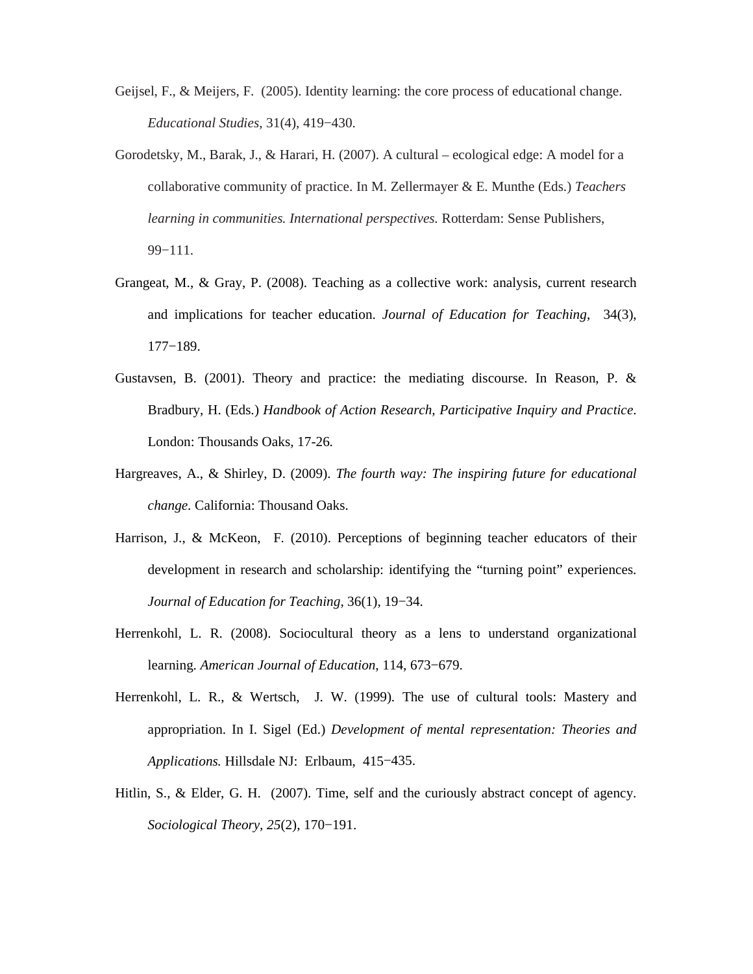- Geijsel, F., & Meijers, F. (2005). Identity learning: the core process of educational change. *Educational Studies*, 31(4), 419−430.
- Gorodetsky, M., Barak, J., & Harari, H. (2007). A cultural ecological edge: A model for a collaborative community of practice. In M. Zellermayer & E. Munthe (Eds.) *Teachers learning in communities. International perspectives.* Rotterdam: Sense Publishers, 99−111.
- Grangeat, M., & Gray, P. (2008). Teaching as a collective work: analysis, current research and implications for teacher education. *Journal of Education for Teaching*, 34(3), 177−189.
- Gustavsen, B. (2001). Theory and practice: the mediating discourse. In Reason, P. & Bradbury, H. (Eds.) *Handbook of Action Research, Participative Inquiry and Practice*. London: Thousands Oaks, 17-26.
- Hargreaves, A., & Shirley, D. (2009). *The fourth way: The inspiring future for educational change.* California: Thousand Oaks.
- Harrison, J., & McKeon, F. (2010). Perceptions of beginning teacher educators of their development in research and scholarship: identifying the "turning point" experiences. *Journal of Education for Teaching,* 36(1), 19−34.
- Herrenkohl, L. R. (2008). Sociocultural theory as a lens to understand organizational learning. *American Journal of Education*, 114, 673−679.
- Herrenkohl, L. R., & Wertsch, J. W. (1999). The use of cultural tools: Mastery and appropriation. In I. Sigel (Ed.) *Development of mental representation: Theories and Applications.* Hillsdale NJ: Erlbaum, 415−435.
- Hitlin, S., & Elder, G. H. (2007). Time, self and the curiously abstract concept of agency. *Sociological Theory, 25*(2), 170−191.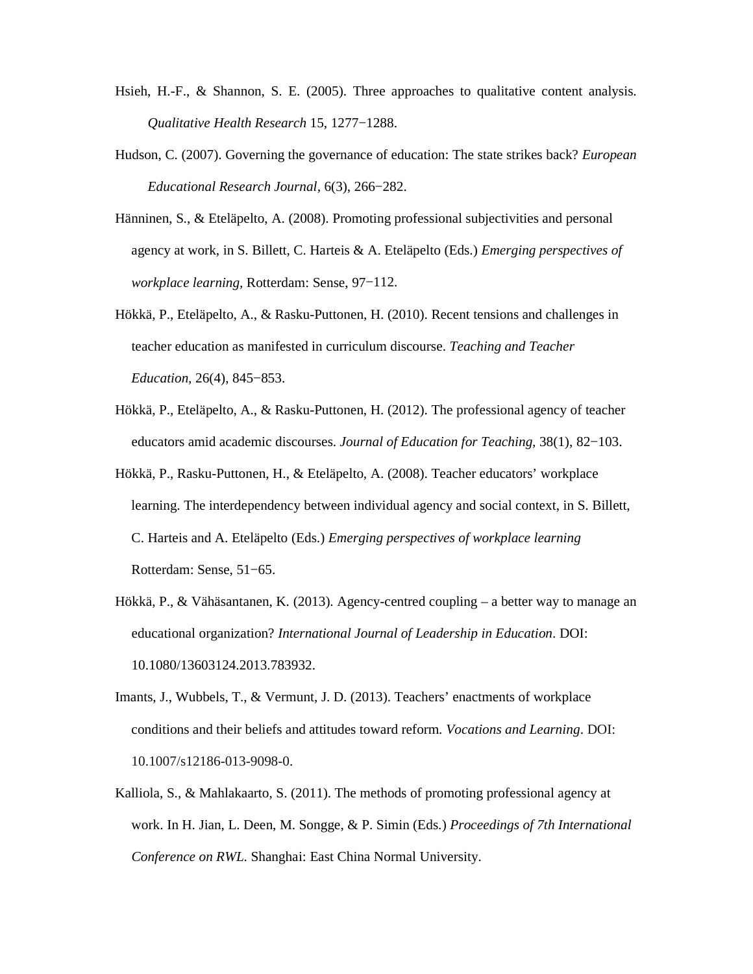- Hsieh, H.-F., & Shannon, S. E. (2005). Three approaches to qualitative content analysis. *Qualitative Health Research* 15, 1277−1288.
- Hudson, C. (2007). Governing the governance of education: The state strikes back? *European Educational Research Journal,* 6(3), 266−282.
- Hänninen, S., & Eteläpelto, A. (2008). Promoting professional subjectivities and personal agency at work, in S. Billett, C. Harteis & A. Eteläpelto (Eds.) *Emerging perspectives of workplace learning,* Rotterdam: Sense, 97−112.
- Hökkä, P., Eteläpelto, A., & Rasku-Puttonen, H. (2010). Recent tensions and challenges in teacher education as manifested in curriculum discourse. *Teaching and Teacher Education,* 26(4), 845−853.
- Hökkä, P., Eteläpelto, A., & Rasku-Puttonen, H. (2012). The professional agency of teacher educators amid academic discourses. *Journal of Education for Teaching,* 38(1), 82−103.
- Hökkä, P., Rasku-Puttonen, H., & Eteläpelto, A. (2008). Teacher educators' workplace learning. The interdependency between individual agency and social context, in S. Billett, C. Harteis and A. Eteläpelto (Eds.) *Emerging perspectives of workplace learning*  Rotterdam: Sense, 51−65.
- Hökkä, P., & Vähäsantanen, K. (2013). Agency-centred coupling a better way to manage an educational organization? *International Journal of Leadership in Education*. DOI: 10.1080/13603124.2013.783932.
- Imants, J., Wubbels, T., & Vermunt, J. D. (2013). Teachers' enactments of workplace conditions and their beliefs and attitudes toward reform*. Vocations and Learning*. DOI: 10.1007/s12186-013-9098-0.
- Kalliola, S., & Mahlakaarto, S. (2011). The methods of promoting professional agency at work. In H. Jian, L. Deen, M. Songge, & P. Simin (Eds.) *Proceedings of 7th International Conference on RWL*. Shanghai: East China Normal University.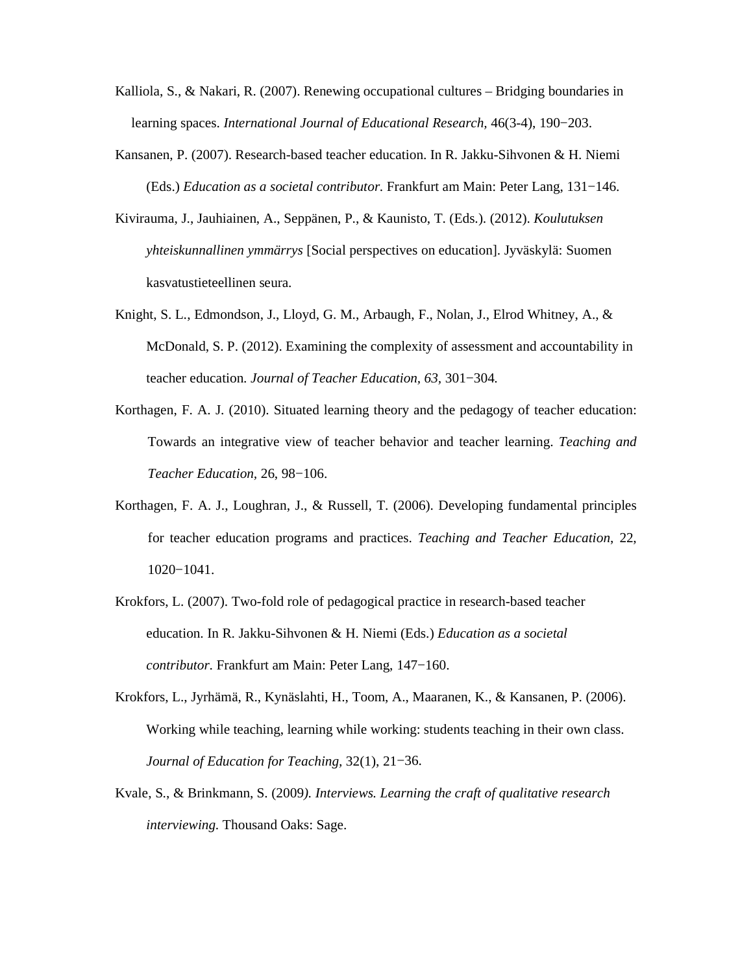- Kalliola, S., & Nakari, R. (2007). Renewing occupational cultures Bridging boundaries in learning spaces. *International Journal of Educational Research,* 46(3-4), 190−203.
- Kansanen, P. (2007). Research-based teacher education. In R. Jakku-Sihvonen & H. Niemi (Eds.) *Education as a societal contributor*. Frankfurt am Main: Peter Lang, 131−146.
- Kivirauma, J., Jauhiainen, A., Seppänen, P., & Kaunisto, T. (Eds.). (2012). *Koulutuksen yhteiskunnallinen ymmärrys* [Social perspectives on education]. Jyväskylä: Suomen kasvatustieteellinen seura.
- Knight, S. L., Edmondson, J., Lloyd, G. M., Arbaugh, F., Nolan, J., Elrod Whitney, A., & McDonald, S. P. (2012). Examining the complexity of assessment and accountability in teacher education. *Journal of Teacher Education, 63,* 301−304*.*
- Korthagen, F. A. J. (2010). Situated learning theory and the pedagogy of teacher education: Towards an integrative view of teacher behavior and teacher learning. *Teaching and Teacher Education,* 26, 98−106.
- Korthagen, F. A. J., Loughran, J., & Russell, T. (2006). Developing fundamental principles for teacher education programs and practices. *Teaching and Teacher Education*, 22, 1020−1041.
- Krokfors, L. (2007). Two-fold role of pedagogical practice in research-based teacher education. In R. Jakku-Sihvonen & H. Niemi (Eds.) *Education as a societal contributor*. Frankfurt am Main: Peter Lang, 147−160.
- Krokfors, L., Jyrhämä, R., Kynäslahti, H., Toom, A., Maaranen, K., & Kansanen, P. (2006). Working while teaching, learning while working: students teaching in their own class. *Journal of Education for Teaching,* 32(1), 21−36.
- Kvale, S., & Brinkmann, S. (2009*). Interviews. Learning the craft of qualitative research interviewing.* Thousand Oaks: Sage.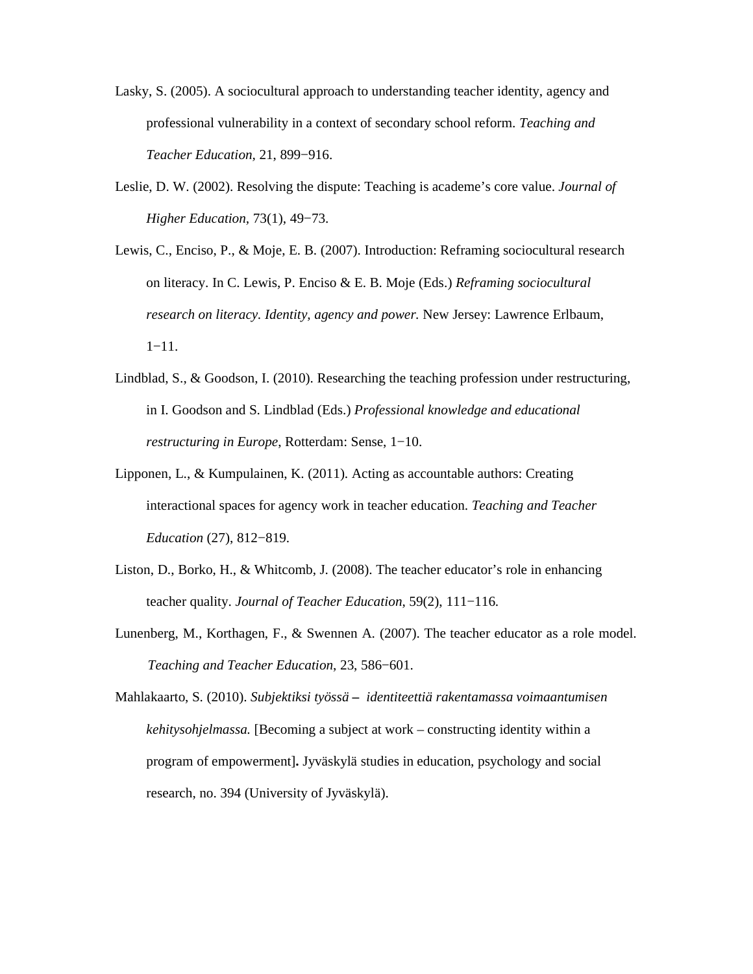- Lasky, S. (2005). A sociocultural approach to understanding teacher identity, agency and professional vulnerability in a context of secondary school reform. *Teaching and Teacher Education,* 21, 899−916.
- Leslie, D. W. (2002). Resolving the dispute: Teaching is academe's core value. *Journal of Higher Education,* 73(1), 49−73.
- Lewis, C., Enciso, P., & Moje, E. B. (2007). Introduction: Reframing sociocultural research on literacy. In C. Lewis, P. Enciso & E. B. Moje (Eds.) *Reframing sociocultural research on literacy. Identity, agency and power.* New Jersey: Lawrence Erlbaum, 1−11.
- Lindblad, S., & Goodson, I. (2010). Researching the teaching profession under restructuring, in I. Goodson and S. Lindblad (Eds.) *Professional knowledge and educational restructuring in Europe*, Rotterdam: Sense, 1−10.
- Lipponen, L., & Kumpulainen, K. (2011). Acting as accountable authors: Creating interactional spaces for agency work in teacher education. *Teaching and Teacher Education* (27), 812−819.
- Liston, D., Borko, H., & Whitcomb, J. (2008). The teacher educator's role in enhancing teacher quality. *Journal of Teacher Education*, 59(2), 111−116.
- Lunenberg, M., Korthagen, F., & Swennen A. (2007). The teacher educator as a role model. *Teaching and Teacher Education*, 23, 586−601.

Mahlakaarto, S. (2010). *Subjektiksi työssä – identiteettiä rakentamassa voimaantumisen kehitysohjelmassa.* [Becoming a subject at work – constructing identity within a program of empowerment]**.** Jyväskylä studies in education, psychology and social research, no. 394 (University of Jyväskylä).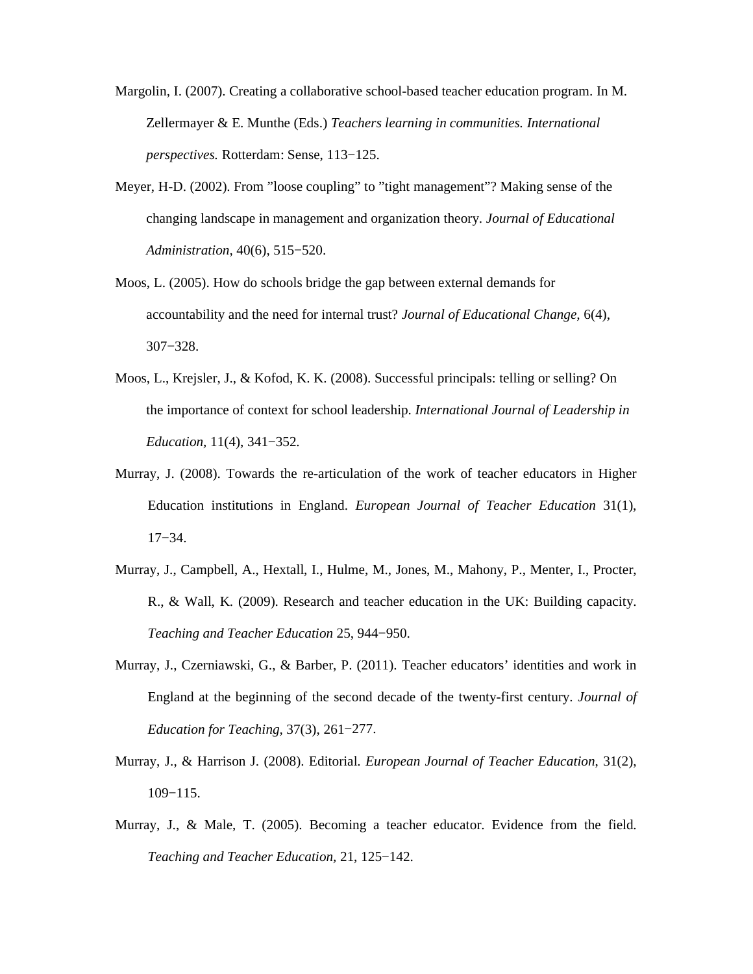Margolin, I. (2007). Creating a collaborative school-based teacher education program. In M. Zellermayer & E. Munthe (Eds.) *Teachers learning in communities. International perspectives.* Rotterdam: Sense, 113−125.

- Meyer, H-D. (2002). From "loose coupling" to "tight management"? Making sense of the changing landscape in management and organization theory. *Journal of Educational Administration,* 40(6), 515−520.
- Moos, L. (2005). How do schools bridge the gap between external demands for accountability and the need for internal trust? *Journal of Educational Change,* 6(4), 307−328.
- Moos, L., Krejsler, J., & Kofod, K. K. (2008). Successful principals: telling or selling? On the importance of context for school leadership. *International Journal of Leadership in Education,* 11(4), 341−352*.*
- Murray, J. (2008). Towards the re-articulation of the work of teacher educators in Higher Education institutions in England. *European Journal of Teacher Education* 31(1), 17−34.
- Murray, J., Campbell, A., Hextall, I., Hulme, M., Jones, M., Mahony, P., Menter, I., Procter, R., & Wall, K. (2009). Research and teacher education in the UK: Building capacity. *Teaching and Teacher Education* 25, 944−950.
- Murray, J., Czerniawski, G., & Barber, P. (2011). Teacher educators' identities and work in England at the beginning of the second decade of the twenty-first century. *Journal of Education for Teaching,* 37(3), 261−277.
- Murray, J., & Harrison J. (2008). Editorial. *European Journal of Teacher Education*, 31(2), 109−115.
- Murray, J., & Male, T. (2005). Becoming a teacher educator. Evidence from the field. *Teaching and Teacher Education,* 21, 125−142.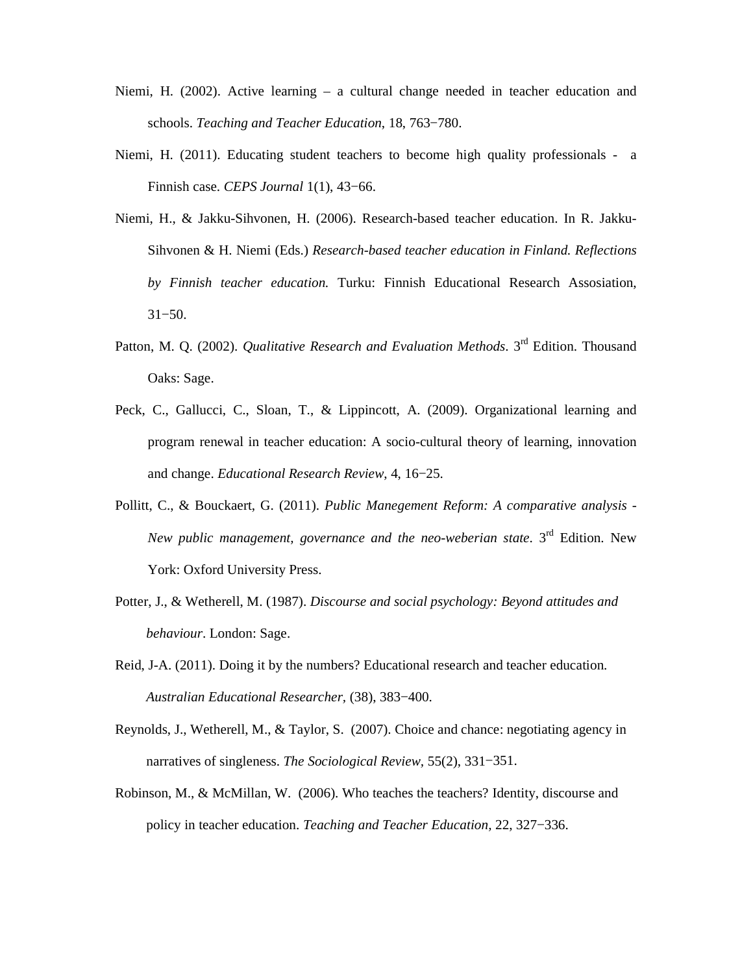- Niemi, H. (2002). Active learning a cultural change needed in teacher education and schools. *Teaching and Teacher Education*, 18, 763−780.
- Niemi, H. (2011). Educating student teachers to become high quality professionals a Finnish case. *CEPS Journal* 1(1), 43−66.
- Niemi, H., & Jakku-Sihvonen, H. (2006). Research-based teacher education. In R. Jakku-Sihvonen & H. Niemi (Eds.) *Research-based teacher education in Finland. Reflections by Finnish teacher education.* Turku: Finnish Educational Research Assosiation, 31−50.
- Patton, M. Q. (2002). *Qualitative Research and Evaluation Methods*. 3<sup>rd</sup> Edition. Thousand Oaks: Sage.
- Peck, C., Gallucci, C., Sloan, T., & Lippincott, A. (2009). Organizational learning and program renewal in teacher education: A socio-cultural theory of learning, innovation and change. *Educational Research Review*, 4, 16−25.
- Pollitt, C., & Bouckaert, G. (2011). *Public Manegement Reform: A comparative analysis New public management, governance and the neo-weberian state.* 3<sup>rd</sup> Edition. New York: Oxford University Press.
- Potter, J., & Wetherell, M. (1987). *Discourse and social psychology: Beyond attitudes and behaviour*. London: Sage.
- Reid, J-A. (2011). Doing it by the numbers? Educational research and teacher education. *Australian Educational Researcher,* (38), 383−400.
- Reynolds, J., Wetherell, M., & Taylor, S. (2007). Choice and chance: negotiating agency in narratives of singleness. *The Sociological Review,* 55(2), 331−351.
- Robinson, M., & McMillan, W. (2006). Who teaches the teachers? Identity, discourse and policy in teacher education. *Teaching and Teacher Education,* 22, 327−336.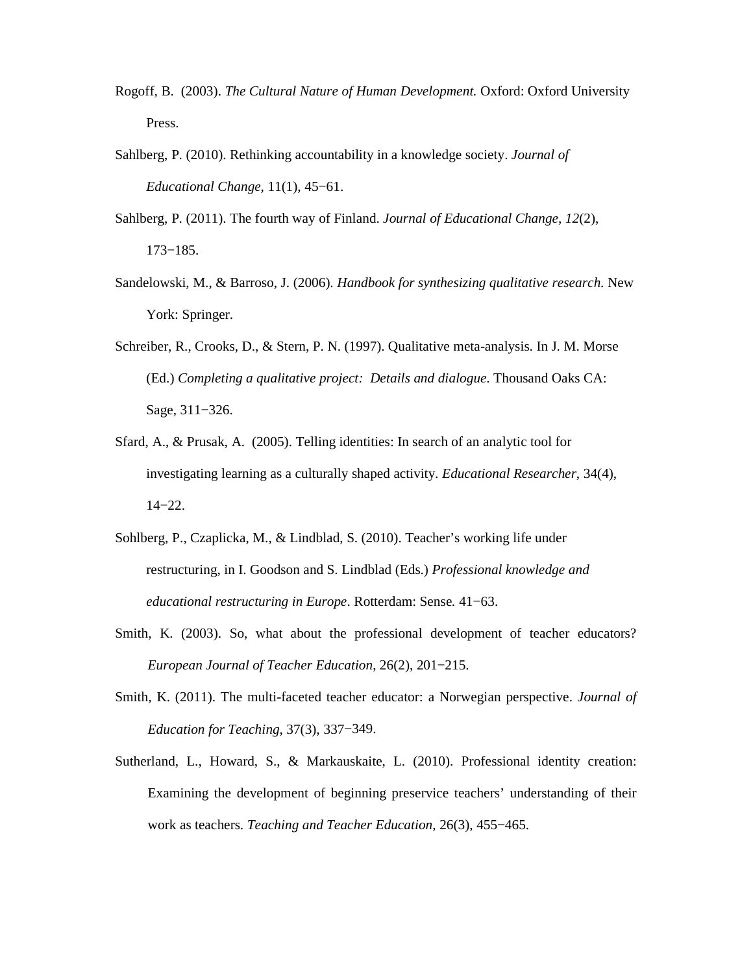- Rogoff, B. (2003). *The Cultural Nature of Human Development.* Oxford: Oxford University Press.
- Sahlberg, P. (2010). Rethinking accountability in a knowledge society. *Journal of Educational Change,* 11(1), 45−61.
- Sahlberg, P. (2011). The fourth way of Finland. *Journal of Educational Change, 12*(2), 173−185.
- Sandelowski, M., & Barroso, J. (2006). *Handbook for synthesizing qualitative research*. New York: Springer.
- Schreiber, R., Crooks, D., & Stern, P. N. (1997). Qualitative meta-analysis. In J. M. Morse (Ed.) *Completing a qualitative project: Details and dialogue*. Thousand Oaks CA: Sage, 311−326.
- Sfard, A., & Prusak, A. (2005). Telling identities: In search of an analytic tool for investigating learning as a culturally shaped activity. *Educational Researcher*, 34(4), 14−22.
- Sohlberg, P., Czaplicka, M., & Lindblad, S. (2010). Teacher's working life under restructuring, in I. Goodson and S. Lindblad (Eds.) *Professional knowledge and educational restructuring in Europe*. Rotterdam: Sense*.* 41−63.
- Smith, K. (2003). So, what about the professional development of teacher educators? *European Journal of Teacher Education*, 26(2), 201−215.
- Smith, K. (2011). The multi-faceted teacher educator: a Norwegian perspective. *Journal of Education for Teaching*, 37(3), 337−349.
- Sutherland, L., Howard, S., & Markauskaite, L. (2010). Professional identity creation: Examining the development of beginning preservice teachers' understanding of their work as teachers. *Teaching and Teacher Education*, 26(3), 455−465.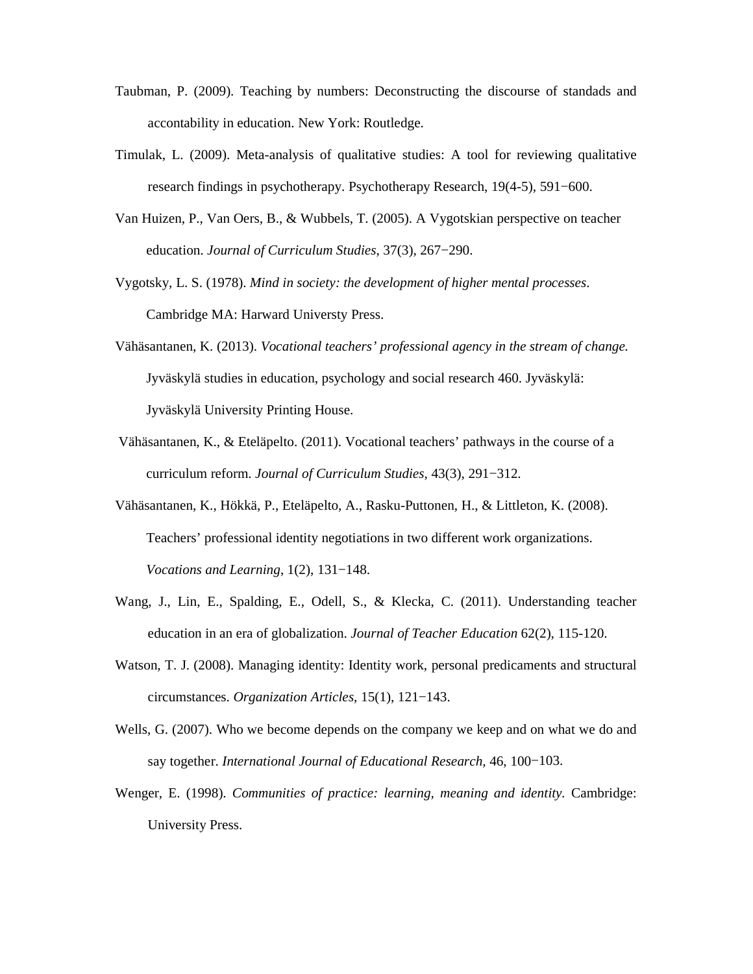- Taubman, P. (2009). Teaching by numbers: Deconstructing the discourse of standads and accontability in education. New York: Routledge.
- Timulak, L. (2009). Meta-analysis of qualitative studies: A tool for reviewing qualitative research findings in psychotherapy. Psychotherapy Research, 19(4-5), 591−600.
- Van Huizen, P., Van Oers, B., & Wubbels, T. (2005). A Vygotskian perspective on teacher education. *Journal of Curriculum Studies*, 37(3), 267−290.
- Vygotsky, L. S. (1978). *Mind in society: the development of higher mental processes*. Cambridge MA: Harward Universty Press.
- Vähäsantanen, K. (2013). *Vocational teachers' professional agency in the stream of change.* Jyväskylä studies in education, psychology and social research 460. Jyväskylä: Jyväskylä University Printing House.
- Vähäsantanen, K., & Eteläpelto. (2011). Vocational teachers' pathways in the course of a curriculum reform. *Journal of Curriculum Studies*, 43(3), 291−312.
- Vähäsantanen, K., Hökkä, P., Eteläpelto, A., Rasku-Puttonen, H., & Littleton, K. (2008). Teachers' professional identity negotiations in two different work organizations. *Vocations and Learning*, 1(2), 131−148.
- Wang, J., Lin, E., Spalding, E., Odell, S., & Klecka, C. (2011). Understanding teacher education in an era of globalization. *Journal of Teacher Education* 62(2), 115-120.
- Watson, T. J. (2008). Managing identity: Identity work, personal predicaments and structural circumstances. *Organization Articles*, 15(1), 121−143.
- Wells, G. (2007). Who we become depends on the company we keep and on what we do and say together. *International Journal of Educational Research,* 46, 100−103.
- Wenger, E. (1998). *Communities of practice: learning, meaning and identity.* Cambridge: University Press.